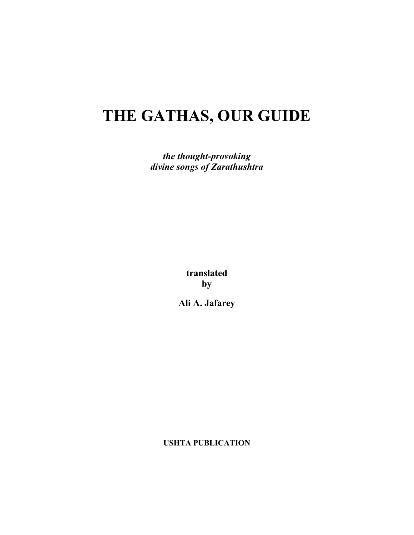# **THE GATHAS, OUR GUIDE**

*the thought-provoking divine songs of Zarathushtra*

> **translated by**

**Ali A. Jafarey**

**USHTA PUBLICATION**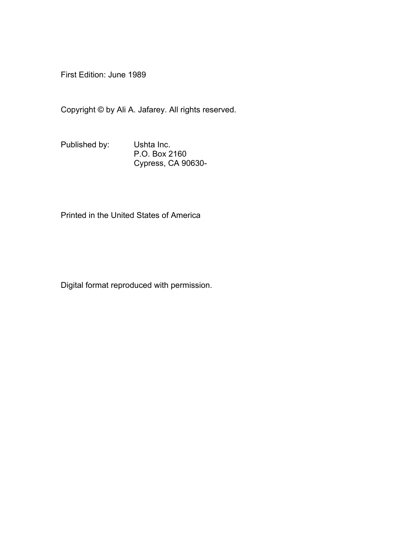First Edition: June 1989

Copyright © by Ali A. Jafarey. All rights reserved.

Published by: Ushta Inc. P.O. Box 2160 Cypress, CA 90630-

Printed in the United States of America

Digital format reproduced with permission.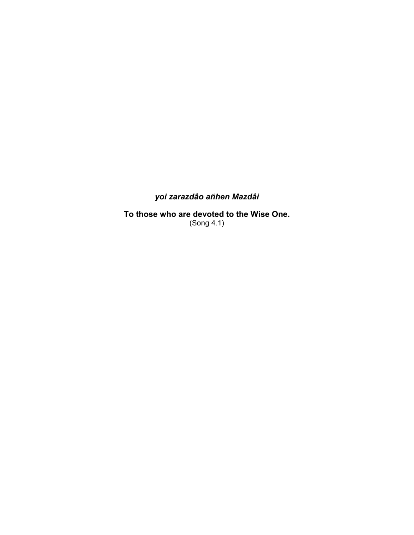### *yoi zarazdâo añhen Mazdâi*

**To those who are devoted to the Wise One.**  (Song 4.1)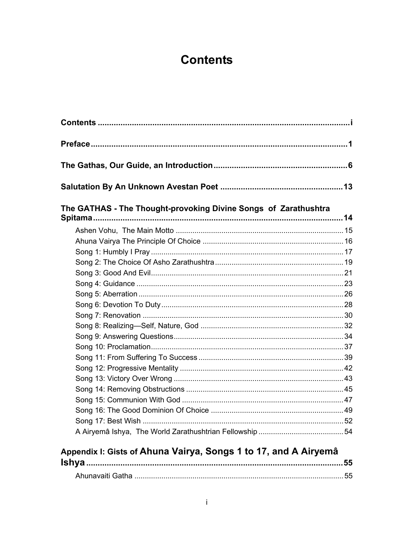## **Contents**

<span id="page-3-0"></span>

| The GATHAS - The Thought-provoking Divine Songs of Zarathushtra |  |  |
|-----------------------------------------------------------------|--|--|
|                                                                 |  |  |
|                                                                 |  |  |
|                                                                 |  |  |
|                                                                 |  |  |
|                                                                 |  |  |
|                                                                 |  |  |
|                                                                 |  |  |
|                                                                 |  |  |
|                                                                 |  |  |
|                                                                 |  |  |
|                                                                 |  |  |
|                                                                 |  |  |
|                                                                 |  |  |
|                                                                 |  |  |
|                                                                 |  |  |
|                                                                 |  |  |
|                                                                 |  |  |
|                                                                 |  |  |
|                                                                 |  |  |
|                                                                 |  |  |
| Appendix I: Gists of Ahuna Vairya, Songs 1 to 17, and A Airyemâ |  |  |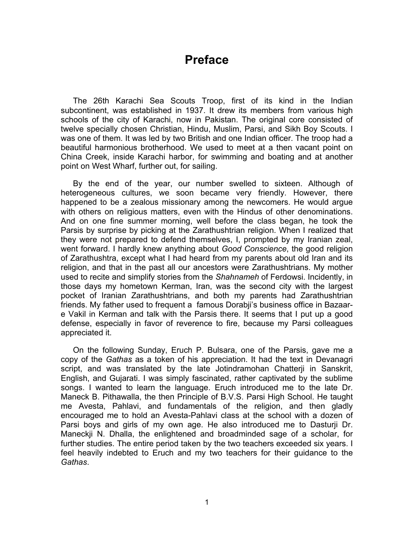### **Preface**

<span id="page-5-0"></span>The 26th Karachi Sea Scouts Troop, first of its kind in the Indian subcontinent, was established in 1937. It drew its members from various high schools of the city of Karachi, now in Pakistan. The original core consisted of twelve specially chosen Christian, Hindu, Muslim, Parsi, and Sikh Boy Scouts. I was one of them. It was led by two British and one Indian officer. The troop had a beautiful harmonious brotherhood. We used to meet at a then vacant point on China Creek, inside Karachi harbor, for swimming and boating and at another point on West Wharf, further out, for sailing.

By the end of the year, our number swelled to sixteen. Although of heterogeneous cultures, we soon became very friendly. However, there happened to be a zealous missionary among the newcomers. He would argue with others on religious matters, even with the Hindus of other denominations. And on one fine summer morning, well before the class began, he took the Parsis by surprise by picking at the Zarathushtrian religion. When I realized that they were not prepared to defend themselves, I, prompted by my Iranian zeal, went forward. I hardly knew anything about *Good Conscience*, the good religion of Zarathushtra, except what I had heard from my parents about old Iran and its religion, and that in the past all our ancestors were Zarathushtrians. My mother used to recite and simplify stories from the *Shahnameh* of Ferdowsi. Incidently, in those days my hometown Kerman, Iran, was the second city with the largest pocket of Iranian Zarathushtrians, and both my parents had Zarathushtrian friends. My father used to frequent a famous Dorabji's business office in Bazaare Vakil in Kerman and talk with the Parsis there. It seems that I put up a good defense, especially in favor of reverence to fire, because my Parsi colleagues appreciated it.

On the following Sunday, Eruch P. Bulsara, one of the Parsis, gave me a copy of the *Gathas* as a token of his appreciation. It had the text in Devanagri script, and was translated by the late Jotindramohan Chatterji in Sanskrit, English, and Gujarati. I was simply fascinated, rather captivated by the sublime songs. I wanted to learn the language. Eruch introduced me to the late Dr. Maneck B. Pithawalla, the then Principle of B.V.S. Parsi High School. He taught me Avesta, Pahlavi, and fundamentals of the religion, and then gladly encouraged me to hold an Avesta-Pahlavi class at the school with a dozen of Parsi boys and girls of my own age. He also introduced me to Dasturji Dr. Maneckji N. Dhalla, the enlightened and broadminded sage of a scholar, for further studies. The entire period taken by the two teachers exceeded six years. I feel heavily indebted to Eruch and my two teachers for their guidance to the *Gathas*.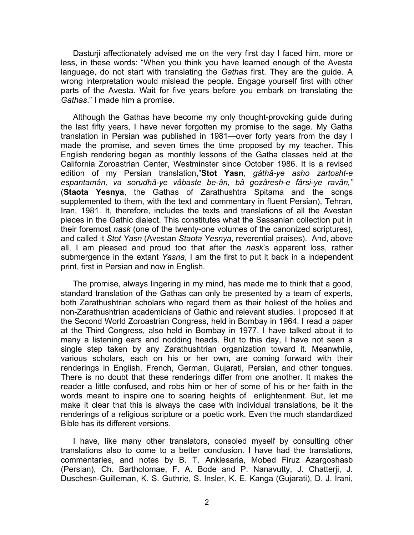Dasturji affectionately advised me on the very first day I faced him, more or less, in these words: "When you think you have learned enough of the Avesta language, do not start with translating the *Gathas* first. They are the guide. A wrong interpretation would mislead the people. Engage yourself first with other parts of the Avesta. Wait for five years before you embark on translating the *Gathas*." I made him a promise.

Although the Gathas have become my only thought-provoking guide during the last fifty years, I have never forgotten my promise to the sage. My Gatha translation in Persian was published in 1981—over forty years from the day I made the promise, and seven times the time proposed by my teacher. This English rendering began as monthly lessons of the Gatha classes held at the California Zoroastrian Center, Westminster since October 1986. It is a revised edition of my Persian translation,"**Stot Yasn**, *gâthâ-ye asho zartosht-e espantamân, va sorudhâ-ye vâbaste be-ân, bâ gozâresh-e fârsi-ye ravân,"*  (**Staota Yesnya**, the Gathas of Zarathushtra Spitama and the songs supplemented to them, with the text and commentary in fluent Persian), Tehran, Iran, 1981. It, therefore, includes the texts and translations of all the Avestan pieces in the Gathic dialect. This constitutes what the Sassanian collection put in their foremost *nask* (one of the twenty-one volumes of the canonized scriptures), and called it *Stot Yasn* (Avestan *Staota Yesnya*, reverential praises). And, above all, I am pleased and proud too that after the *nask*'s apparent loss, rather submergence in the extant *Yasna*, I am the first to put it back in a independent print, first in Persian and now in English.

The promise, always lingering in my mind, has made me to think that a good, standard translation of the Gathas can only be presented by a team of experts, both Zarathushtrian scholars who regard them as their holiest of the holies and non-Zarathushtrian academicians of Gathic and relevant studies. I proposed it at the Second World Zoroastrian Congress, held in Bombay in 1964. I read a paper at the Third Congress, also held in Bombay in 1977. I have talked about it to many a listening ears and nodding heads. But to this day, I have not seen a single step taken by any Zarathushtrian organization toward it. Meanwhile, various scholars, each on his or her own, are coming forward with their renderings in English, French, German, Gujarati, Persian, and other tongues. There is no doubt that these renderings differ from one another. It makes the reader a little confused, and robs him or her of some of his or her faith in the words meant to inspire one to soaring heights of enlightenment. But, let me make it clear that this is always the case with individual translations, be it the renderings of a religious scripture or a poetic work. Even the much standardized Bible has its different versions.

I have, like many other translators, consoled myself by consulting other translations also to come to a better conclusion. I have had the translations, commentaries, and notes by B. T. Anklesaria, Mobed Firuz Azargoshasb (Persian), Ch. Bartholomae, F. A. Bode and P. Nanavutty, J. Chatterji, J. Duschesn-Guilleman, K. S. Guthrie, S. Insler, K. E. Kanga (Gujarati), D. J. Irani,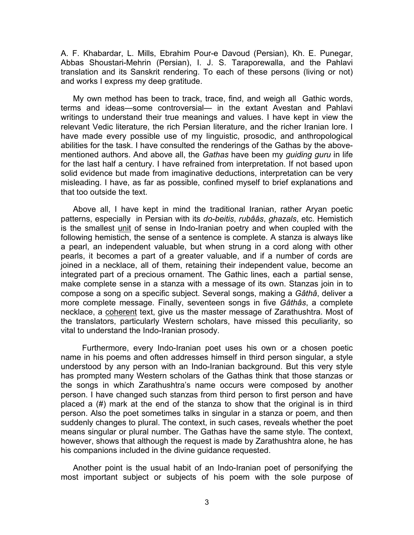A. F. Khabardar, L. Mills, Ebrahim Pour-e Davoud (Persian), Kh. E. Punegar, Abbas Shoustari-Mehrin (Persian), I. J. S. Taraporewalla, and the Pahlavi translation and its Sanskrit rendering. To each of these persons (living or not) and works I express my deep gratitude.

My own method has been to track, trace, find, and weigh all Gathic words, terms and ideas—some controversial— in the extant Avestan and Pahlavi writings to understand their true meanings and values. I have kept in view the relevant Vedic literature, the rich Persian literature, and the richer Iranian lore. I have made every possible use of my linguistic, prosodic, and anthropological abilities for the task. I have consulted the renderings of the Gathas by the abovementioned authors. And above all, the *Gathas* have been my *guiding guru* in life for the last half a century. I have refrained from interpretation. If not based upon solid evidence but made from imaginative deductions, interpretation can be very misleading. I have, as far as possible, confined myself to brief explanations and that too outside the text.

Above all, I have kept in mind the traditional Iranian, rather Aryan poetic patterns, especially in Persian with its *do-beitis*, *rubââs*, *ghazals*, etc. Hemistich is the smallest unit of sense in Indo-Iranian poetry and when coupled with the following hemistich, the sense of a sentence is complete. A stanza is always like a pearl, an independent valuable, but when strung in a cord along with other pearls, it becomes a part of a greater valuable, and if a number of cords are joined in a necklace, all of them, retaining their independent value, become an integrated part of a precious ornament. The Gathic lines, each a partial sense, make complete sense in a stanza with a message of its own. Stanzas join in to compose a song on a specific subject. Several songs, making a *Gâthâ*, deliver a more complete message. Finally, seventeen songs in five *Gâthâs*, a complete necklace, a coherent text, give us the master message of Zarathushtra. Most of the translators, particularly Western scholars, have missed this peculiarity, so vital to understand the Indo-Iranian prosody.

 Furthermore, every Indo-Iranian poet uses his own or a chosen poetic name in his poems and often addresses himself in third person singular, a style understood by any person with an Indo-Iranian background. But this very style has prompted many Western scholars of the Gathas think that those stanzas or the songs in which Zarathushtra's name occurs were composed by another person. I have changed such stanzas from third person to first person and have placed a (#) mark at the end of the stanza to show that the original is in third person. Also the poet sometimes talks in singular in a stanza or poem, and then suddenly changes to plural. The context, in such cases, reveals whether the poet means singular or plural number. The Gathas have the same style. The context, however, shows that although the request is made by Zarathushtra alone, he has his companions included in the divine guidance requested.

Another point is the usual habit of an Indo-Iranian poet of personifying the most important subject or subjects of his poem with the sole purpose of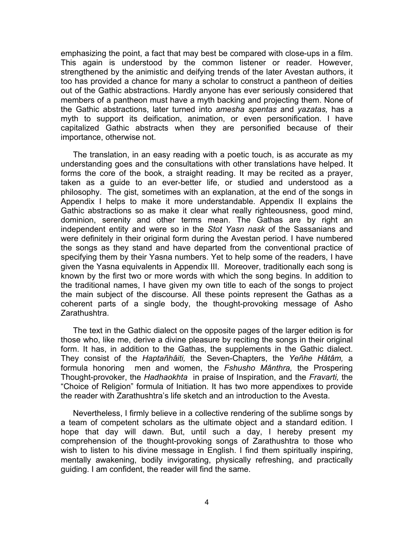emphasizing the point, a fact that may best be compared with close-ups in a film. This again is understood by the common listener or reader. However, strengthened by the animistic and deifying trends of the later Avestan authors, it too has provided a chance for many a scholar to construct a pantheon of deities out of the Gathic abstractions. Hardly anyone has ever seriously considered that members of a pantheon must have a myth backing and projecting them. None of the Gathic abstractions, later turned into *amesha spentas* and *yazatas,* has a myth to support its deification, animation, or even personification. I have capitalized Gathic abstracts when they are personified because of their importance, otherwise not.

The translation, in an easy reading with a poetic touch, is as accurate as my understanding goes and the consultations with other translations have helped. It forms the core of the book, a straight reading. It may be recited as a prayer, taken as a guide to an ever-better life, or studied and understood as a philosophy. The gist, sometimes with an explanation, at the end of the songs in Appendix I helps to make it more understandable. Appendix II explains the Gathic abstractions so as make it clear what really righteousness, good mind, dominion, serenity and other terms mean. The Gathas are by right an independent entity and were so in the *Stot Yasn nask* of the Sassanians and were definitely in their original form during the Avestan period. I have numbered the songs as they stand and have departed from the conventional practice of specifying them by their Yasna numbers. Yet to help some of the readers, I have given the Yasna equivalents in Appendix III. Moreover, traditionally each song is known by the first two or more words with which the song begins. In addition to the traditional names, I have given my own title to each of the songs to project the main subject of the discourse. All these points represent the Gathas as a coherent parts of a single body, the thought-provoking message of Asho Zarathushtra.

The text in the Gathic dialect on the opposite pages of the larger edition is for those who, like me, derive a divine pleasure by reciting the songs in their original form. It has, in addition to the Gathas, the supplements in the Gathic dialect. They consist of the *Haptañhâiti,* the Seven-Chapters, the *Yeñhe Hâtâm,* a formula honoring men and women, the *Fshusho Mânthra,* the Prospering Thought-provoker, the *Hadhaokhta* in praise of Inspiration, and the *Fravarti,* the "Choice of Religion" formula of Initiation. It has two more appendixes to provide the reader with Zarathushtra's life sketch and an introduction to the Avesta.

Nevertheless, I firmly believe in a collective rendering of the sublime songs by a team of competent scholars as the ultimate object and a standard edition. I hope that day will dawn. But, until such a day, I hereby present my comprehension of the thought-provoking songs of Zarathushtra to those who wish to listen to his divine message in English. I find them spiritually inspiring, mentally awakening, bodily invigorating, physically refreshing, and practically guiding. I am confident, the reader will find the same.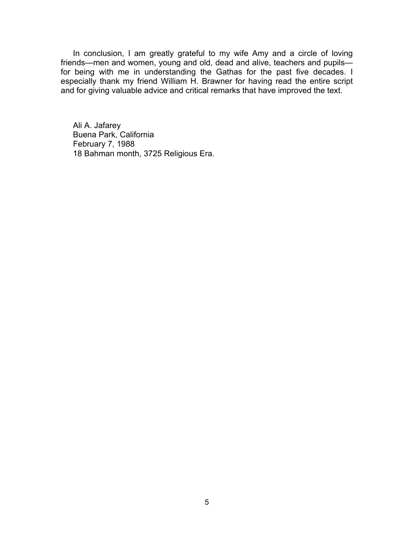In conclusion, I am greatly grateful to my wife Amy and a circle of loving friends—men and women, young and old, dead and alive, teachers and pupils for being with me in understanding the Gathas for the past five decades. I especially thank my friend William H. Brawner for having read the entire script and for giving valuable advice and critical remarks that have improved the text.

Ali A. Jafarey Buena Park, California February 7, 1988 18 Bahman month, 3725 Religious Era.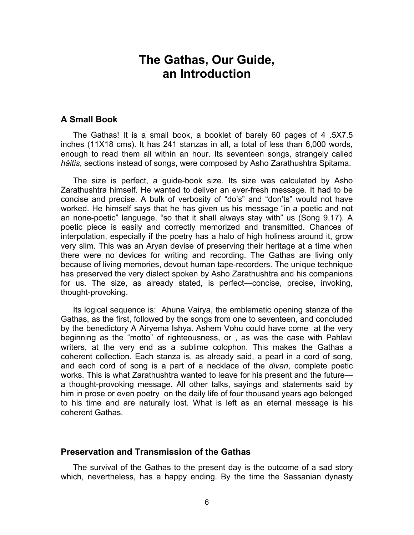### **The Gathas, Our Guide, an Introduction**

### <span id="page-10-0"></span>**A Small Book**

The Gathas! It is a small book, a booklet of barely 60 pages of 4 .5X7.5 inches (11X18 cms). It has 241 stanzas in all, a total of less than 6,000 words, enough to read them all within an hour. Its seventeen songs, strangely called *hâitis*, sections instead of songs, were composed by Asho Zarathushtra Spitama.

The size is perfect, a guide-book size. Its size was calculated by Asho Zarathushtra himself. He wanted to deliver an ever-fresh message. It had to be concise and precise. A bulk of verbosity of "do's" and "don'ts" would not have worked. He himself says that he has given us his message "in a poetic and not an none-poetic" language, "so that it shall always stay with" us (Song 9.17). A poetic piece is easily and correctly memorized and transmitted. Chances of interpolation, especially if the poetry has a halo of high holiness around it, grow very slim. This was an Aryan devise of preserving their heritage at a time when there were no devices for writing and recording. The Gathas are living only because of living memories, devout human tape-recorders. The unique technique has preserved the very dialect spoken by Asho Zarathushtra and his companions for us. The size, as already stated, is perfect—concise, precise, invoking, thought-provoking.

Its logical sequence is: Ahuna Vairya, the emblematic opening stanza of the Gathas, as the first, followed by the songs from one to seventeen, and concluded by the benedictory A Airyema Ishya. Ashem Vohu could have come at the very beginning as the "motto" of righteousness, or , as was the case with Pahlavi writers, at the very end as a sublime colophon. This makes the Gathas a coherent collection. Each stanza is, as already said, a pearl in a cord of song, and each cord of song is a part of a necklace of the *divan*, complete poetic works. This is what Zarathushtra wanted to leave for his present and the future a thought-provoking message. All other talks, sayings and statements said by him in prose or even poetry on the daily life of four thousand years ago belonged to his time and are naturally lost. What is left as an eternal message is his coherent Gathas.

#### **Preservation and Transmission of the Gathas**

The survival of the Gathas to the present day is the outcome of a sad story which, nevertheless, has a happy ending. By the time the Sassanian dynasty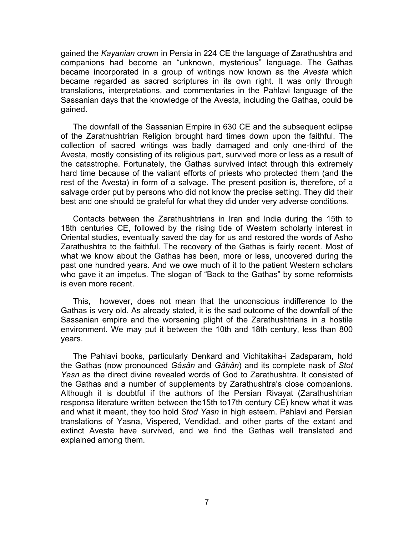gained the *Kayanian* crown in Persia in 224 CE the language of Zarathushtra and companions had become an "unknown, mysterious" language. The Gathas became incorporated in a group of writings now known as the *Avesta* which became regarded as sacred scriptures in its own right. It was only through translations, interpretations, and commentaries in the Pahlavi language of the Sassanian days that the knowledge of the Avesta, including the Gathas, could be gained.

The downfall of the Sassanian Empire in 630 CE and the subsequent eclipse of the Zarathushtrian Religion brought hard times down upon the faithful. The collection of sacred writings was badly damaged and only one-third of the Avesta, mostly consisting of its religious part, survived more or less as a result of the catastrophe. Fortunately, the Gathas survived intact through this extremely hard time because of the valiant efforts of priests who protected them (and the rest of the Avesta) in form of a salvage. The present position is, therefore, of a salvage order put by persons who did not know the precise setting. They did their best and one should be grateful for what they did under very adverse conditions.

Contacts between the Zarathushtrians in Iran and India during the 15th to 18th centuries CE, followed by the rising tide of Western scholarly interest in Oriental studies, eventually saved the day for us and restored the words of Asho Zarathushtra to the faithful. The recovery of the Gathas is fairly recent. Most of what we know about the Gathas has been, more or less, uncovered during the past one hundred years. And we owe much of it to the patient Western scholars who gave it an impetus. The slogan of "Back to the Gathas" by some reformists is even more recent.

This, however, does not mean that the unconscious indifference to the Gathas is very old. As already stated, it is the sad outcome of the downfall of the Sassanian empire and the worsening plight of the Zarathushtrians in a hostile environment. We may put it between the 10th and 18th century, less than 800 years.

The Pahlavi books, particularly Denkard and Vichitakiha-i Zadsparam, hold the Gathas (now pronounced *Gâsân* and *Gâhân*) and its complete nask of *Stot Yasn* as the direct divine revealed words of God to Zarathushtra. It consisted of the Gathas and a number of supplements by Zarathushtra's close companions. Although it is doubtful if the authors of the Persian Rivayat (Zarathushtrian responsa literature written between the15th to17th century CE) knew what it was and what it meant, they too hold *Stod Yasn* in high esteem. Pahlavi and Persian translations of Yasna, Vispered, Vendidad, and other parts of the extant and extinct Avesta have survived, and we find the Gathas well translated and explained among them.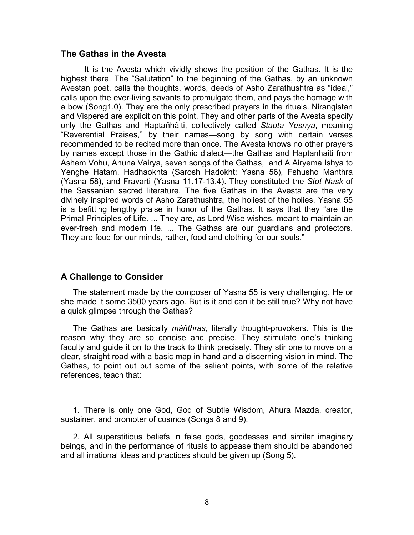#### **The Gathas in the Avesta**

 It is the Avesta which vividly shows the position of the Gathas. It is the highest there. The "Salutation" to the beginning of the Gathas, by an unknown Avestan poet, calls the thoughts, words, deeds of Asho Zarathushtra as "ideal," calls upon the ever-living savants to promulgate them, and pays the homage with a bow (Song1.0). They are the only prescribed prayers in the rituals. Nirangistan and Vispered are explicit on this point. They and other parts of the Avesta specify only the Gathas and Haptañhâiti, collectively called *Staota Yesnya*, meaning "Reverential Praises," by their names—song by song with certain verses recommended to be recited more than once. The Avesta knows no other prayers by names except those in the Gathic dialect—the Gathas and Haptanhaiti from Ashem Vohu, Ahuna Vairya, seven songs of the Gathas, and A Airyema Ishya to Yenghe Hatam, Hadhaokhta (Sarosh Hadokht: Yasna 56), Fshusho Manthra (Yasna 58), and Fravarti (Yasna 11.17-13.4). They constituted the *Stot Nask* of the Sassanian sacred literature. The five Gathas in the Avesta are the very divinely inspired words of Asho Zarathushtra, the holiest of the holies. Yasna 55 is a befitting lengthy praise in honor of the Gathas. It says that they "are the Primal Principles of Life. ... They are, as Lord Wise wishes, meant to maintain an ever-fresh and modern life. ... The Gathas are our guardians and protectors. They are food for our minds, rather, food and clothing for our souls."

### **A Challenge to Consider**

The statement made by the composer of Yasna 55 is very challenging. He or she made it some 3500 years ago. But is it and can it be still true? Why not have a quick glimpse through the Gathas?

The Gathas are basically *mâñthras*, literally thought-provokers. This is the reason why they are so concise and precise. They stimulate one's thinking faculty and guide it on to the track to think precisely. They stir one to move on a clear, straight road with a basic map in hand and a discerning vision in mind. The Gathas, to point out but some of the salient points, with some of the relative references, teach that:

1. There is only one God, God of Subtle Wisdom, Ahura Mazda, creator, sustainer, and promoter of cosmos (Songs 8 and 9).

2. All superstitious beliefs in false gods, goddesses and similar imaginary beings, and in the performance of rituals to appease them should be abandoned and all irrational ideas and practices should be given up (Song 5).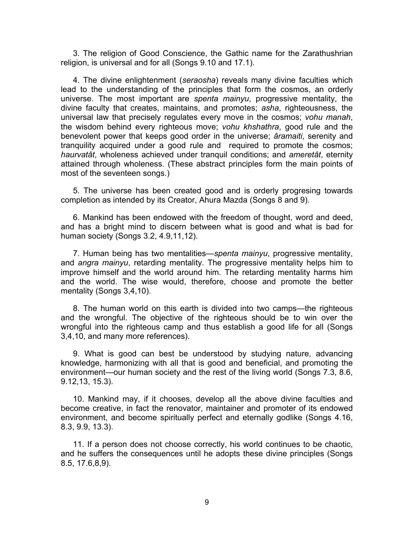3. The religion of Good Conscience, the Gathic name for the Zarathushrian religion, is universal and for all (Songs 9.10 and 17.1).

4. The divine enlightenment (*seraosha*) reveals many divine faculties which lead to the understanding of the principles that form the cosmos, an orderly universe. The most important are *spenta mainyu*, progressive mentality, the divine faculty that creates, maintains, and promotes; *asha*, righteousness, the universal law that precisely regulates every move in the cosmos; *vohu manah*, the wisdom behind every righteous move; *vohu khshathra*, good rule and the benevolent power that keeps good order in the universe; *âramaiti*, serenity and tranquility acquired under a good rule and required to promote the cosmos; *haurvatât*, wholeness achieved under tranquil conditions; and *ameretât*, eternity attained through wholeness. (These abstract principles form the main points of most of the seventeen songs.)

5. The universe has been created good and is orderly progresing towards completion as intended by its Creator, Ahura Mazda (Songs 8 and 9).

6. Mankind has been endowed with the freedom of thought, word and deed, and has a bright mind to discern between what is good and what is bad for human society (Songs 3.2, 4.9,11,12).

7. Human being has two mentalities—*spenta mainyu*, progressive mentality, and *angra mainyu*, retarding mentality. The progressive mentality helps him to improve himself and the world around him. The retarding mentality harms him and the world. The wise would, therefore, choose and promote the better mentality (Songs 3,4,10).

8. The human world on this earth is divided into two camps—the righteous and the wrongful. The objective of the righteous should be to win over the wrongful into the righteous camp and thus establish a good life for all (Songs 3,4,10, and many more references).

9. What is good can best be understood by studying nature, advancing knowledge, harmonizing with all that is good and beneficial, and promoting the environment—our human society and the rest of the living world (Songs 7.3, 8.6, 9.12,13, 15.3).

10. Mankind may, if it chooses, develop all the above divine faculties and become creative, in fact the renovator, maintainer and promoter of its endowed environment, and become spiritually perfect and eternally godlike (Songs 4.16, 8.3, 9.9, 13.3).

11. If a person does not choose correctly, his world continues to be chaotic, and he suffers the consequences until he adopts these divine principles (Songs 8.5, 17.6,8,9).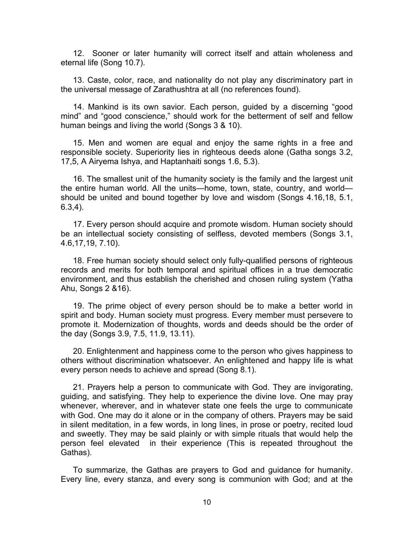12. Sooner or later humanity will correct itself and attain wholeness and eternal life (Song 10.7).

13. Caste, color, race, and nationality do not play any discriminatory part in the universal message of Zarathushtra at all (no references found).

14. Mankind is its own savior. Each person, guided by a discerning "good mind" and "good conscience," should work for the betterment of self and fellow human beings and living the world (Songs 3 & 10).

15. Men and women are equal and enjoy the same rights in a free and responsible society. Superiority lies in righteous deeds alone (Gatha songs 3.2, 17,5, A Airyema Ishya, and Haptanhaiti songs 1.6, 5.3).

16. The smallest unit of the humanity society is the family and the largest unit the entire human world. All the units—home, town, state, country, and world should be united and bound together by love and wisdom (Songs 4.16,18, 5.1, 6.3,4).

17. Every person should acquire and promote wisdom. Human society should be an intellectual society consisting of selfless, devoted members (Songs 3.1, 4.6,17,19, 7.10).

18. Free human society should select only fully-qualified persons of righteous records and merits for both temporal and spiritual offices in a true democratic environment, and thus establish the cherished and chosen ruling system (Yatha Ahu, Songs 2 &16).

19. The prime object of every person should be to make a better world in spirit and body. Human society must progress. Every member must persevere to promote it. Modernization of thoughts, words and deeds should be the order of the day (Songs 3.9, 7.5, 11.9, 13.11).

20. Enlightenment and happiness come to the person who gives happiness to others without discrimination whatsoever. An enlightened and happy life is what every person needs to achieve and spread (Song 8.1).

21. Prayers help a person to communicate with God. They are invigorating, guiding, and satisfying. They help to experience the divine love. One may pray whenever, wherever, and in whatever state one feels the urge to communicate with God. One may do it alone or in the company of others. Prayers may be said in silent meditation, in a few words, in long lines, in prose or poetry, recited loud and sweetly. They may be said plainly or with simple rituals that would help the person feel elevated in their experience (This is repeated throughout the Gathas).

To summarize, the Gathas are prayers to God and guidance for humanity. Every line, every stanza, and every song is communion with God; and at the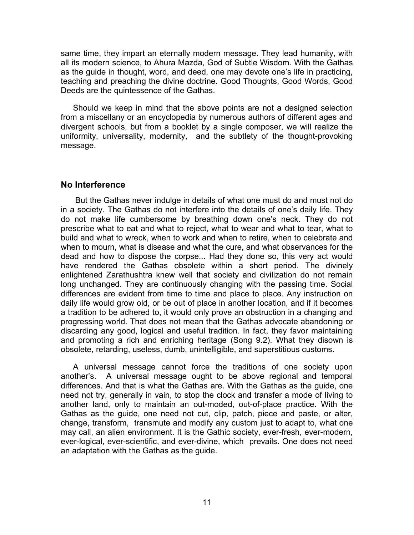same time, they impart an eternally modern message. They lead humanity, with all its modern science, to Ahura Mazda, God of Subtle Wisdom. With the Gathas as the guide in thought, word, and deed, one may devote one's life in practicing, teaching and preaching the divine doctrine. Good Thoughts, Good Words, Good Deeds are the quintessence of the Gathas.

Should we keep in mind that the above points are not a designed selection from a miscellany or an encyclopedia by numerous authors of different ages and divergent schools, but from a booklet by a single composer, we will realize the uniformity, universality, modernity, and the subtlety of the thought-provoking message.

### **No Interference**

But the Gathas never indulge in details of what one must do and must not do in a society. The Gathas do not interfere into the details of one's daily life. They do not make life cumbersome by breathing down one's neck. They do not prescribe what to eat and what to reject, what to wear and what to tear, what to build and what to wreck, when to work and when to retire, when to celebrate and when to mourn, what is disease and what the cure, and what observances for the dead and how to dispose the corpse... Had they done so, this very act would have rendered the Gathas obsolete within a short period. The divinely enlightened Zarathushtra knew well that society and civilization do not remain long unchanged. They are continuously changing with the passing time. Social differences are evident from time to time and place to place. Any instruction on daily life would grow old, or be out of place in another location, and if it becomes a tradition to be adhered to, it would only prove an obstruction in a changing and progressing world. That does not mean that the Gathas advocate abandoning or discarding any good, logical and useful tradition. In fact, they favor maintaining and promoting a rich and enriching heritage (Song 9.2). What they disown is obsolete, retarding, useless, dumb, unintelligible, and superstitious customs.

A universal message cannot force the traditions of one society upon another's. A universal message ought to be above regional and temporal differences. And that is what the Gathas are. With the Gathas as the guide, one need not try, generally in vain, to stop the clock and transfer a mode of living to another land, only to maintain an out-moded, out-of-place practice. With the Gathas as the guide, one need not cut, clip, patch, piece and paste, or alter, change, transform, transmute and modify any custom just to adapt to, what one may call, an alien environment. It is the Gathic society, ever-fresh, ever-modern, ever-logical, ever-scientific, and ever-divine, which prevails. One does not need an adaptation with the Gathas as the guide.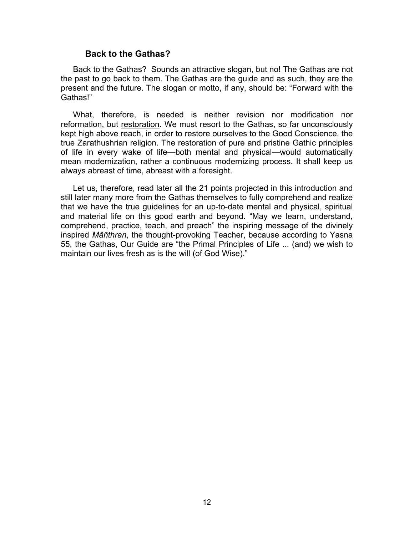#### **Back to the Gathas?**

Back to the Gathas? Sounds an attractive slogan, but no! The Gathas are not the past to go back to them. The Gathas are the guide and as such, they are the present and the future. The slogan or motto, if any, should be: "Forward with the Gathas!"

What, therefore, is needed is neither revision nor modification nor reformation, but restoration. We must resort to the Gathas, so far unconsciously kept high above reach, in order to restore ourselves to the Good Conscience, the true Zarathushrian religion. The restoration of pure and pristine Gathic principles of life in every wake of life—both mental and physical—would automatically mean modernization, rather a continuous modernizing process. It shall keep us always abreast of time, abreast with a foresight.

Let us, therefore, read later all the 21 points projected in this introduction and still later many more from the Gathas themselves to fully comprehend and realize that we have the true guidelines for an up-to-date mental and physical, spiritual and material life on this good earth and beyond. "May we learn, understand, comprehend, practice, teach, and preach" the inspiring message of the divinely inspired *Mâñthran*, the thought-provoking Teacher, because according to Yasna 55, the Gathas, Our Guide are "the Primal Principles of Life ... (and) we wish to maintain our lives fresh as is the will (of God Wise)."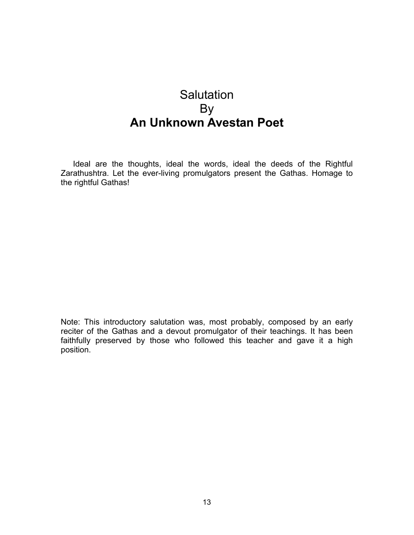## <span id="page-17-0"></span>**Salutation** By **An Unknown Avestan Poet**

Ideal are the thoughts, ideal the words, ideal the deeds of the Rightful Zarathushtra. Let the ever-living promulgators present the Gathas. Homage to the rightful Gathas!

Note: This introductory salutation was, most probably, composed by an early reciter of the Gathas and a devout promulgator of their teachings. It has been faithfully preserved by those who followed this teacher and gave it a high position.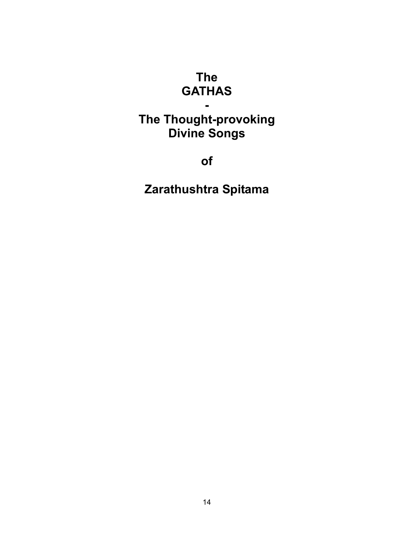## **The GATHAS**

## <span id="page-18-0"></span>**The Thought-provoking Divine Songs**

**-** 

**of** 

**Zarathushtra Spitama**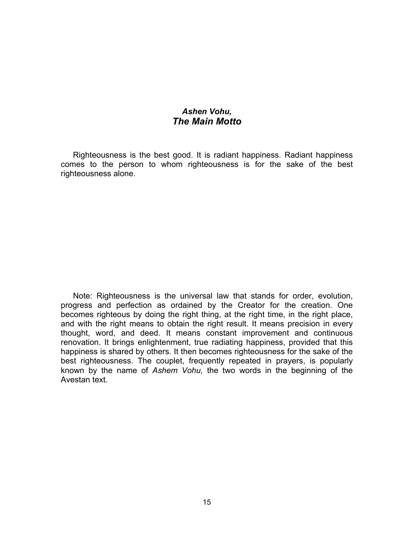### *Ashen Vohu, The Main Motto*

<span id="page-19-0"></span>Righteousness is the best good. It is radiant happiness. Radiant happiness comes to the person to whom righteousness is for the sake of the best righteousness alone.

Note: Righteousness is the universal law that stands for order, evolution, progress and perfection as ordained by the Creator for the creation. One becomes righteous by doing the right thing, at the right time, in the right place, and with the right means to obtain the right result. It means precision in every thought, word, and deed. It means constant improvement and continuous renovation. It brings enlightenment, true radiating happiness, provided that this happiness is shared by others. It then becomes righteousness for the sake of the best righteousness. The couplet, frequently repeated in prayers, is popularly known by the name of *Ashem Vohu,* the two words in the beginning of the Avestan text.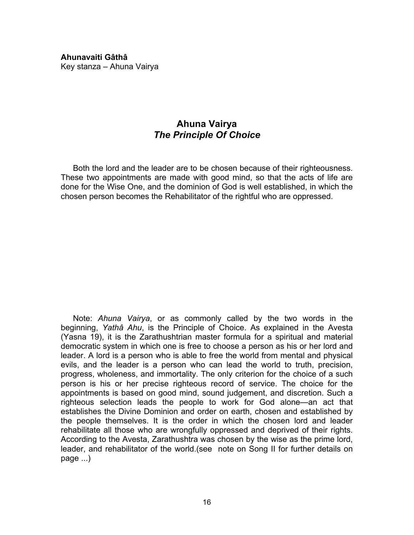<span id="page-20-0"></span>**Ahunavaiti Gâthâ**  Key stanza – Ahuna Vairya

### **Ahuna Vairya** *The Principle Of Choice*

Both the lord and the leader are to be chosen because of their righteousness. These two appointments are made with good mind, so that the acts of life are done for the Wise One, and the dominion of God is well established, in which the chosen person becomes the Rehabilitator of the rightful who are oppressed.

 Note: *Ahuna Vairya*, or as commonly called by the two words in the beginning, *Yathâ Ahu*, is the Principle of Choice. As explained in the Avesta (Yasna 19), it is the Zarathushtrian master formula for a spiritual and material democratic system in which one is free to choose a person as his or her lord and leader. A lord is a person who is able to free the world from mental and physical evils, and the leader is a person who can lead the world to truth, precision, progress, wholeness, and immortality. The only criterion for the choice of a such person is his or her precise righteous record of service. The choice for the appointments is based on good mind, sound judgement, and discretion. Such a righteous selection leads the people to work for God alone—an act that establishes the Divine Dominion and order on earth, chosen and established by the people themselves. It is the order in which the chosen lord and leader rehabilitate all those who are wrongfully oppressed and deprived of their rights. According to the Avesta, Zarathushtra was chosen by the wise as the prime lord, leader, and rehabilitator of the world.(see note on Song II for further details on page ...)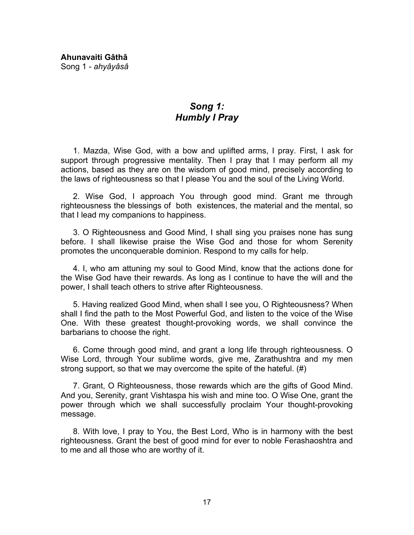<span id="page-21-0"></span>**Ahunavaiti Gâthâ**  Song 1 - *ahyâyâsâ*

### *Song 1: Humbly I Pray*

1. Mazda, Wise God, with a bow and uplifted arms, I pray. First, I ask for support through progressive mentality. Then I pray that I may perform all my actions, based as they are on the wisdom of good mind, precisely according to the laws of righteousness so that I please You and the soul of the Living World.

2. Wise God, I approach You through good mind. Grant me through righteousness the blessings of both existences, the material and the mental, so that I lead my companions to happiness.

3. O Righteousness and Good Mind, I shall sing you praises none has sung before. I shall likewise praise the Wise God and those for whom Serenity promotes the unconquerable dominion. Respond to my calls for help.

4. I, who am attuning my soul to Good Mind, know that the actions done for the Wise God have their rewards. As long as I continue to have the will and the power, I shall teach others to strive after Righteousness.

5. Having realized Good Mind, when shall I see you, O Righteousness? When shall I find the path to the Most Powerful God, and listen to the voice of the Wise One. With these greatest thought-provoking words, we shall convince the barbarians to choose the right.

6. Come through good mind, and grant a long life through righteousness. O Wise Lord, through Your sublime words, give me, Zarathushtra and my men strong support, so that we may overcome the spite of the hateful. (#)

7. Grant, O Righteousness, those rewards which are the gifts of Good Mind. And you, Serenity, grant Vishtaspa his wish and mine too. O Wise One, grant the power through which we shall successfully proclaim Your thought-provoking message.

8. With love, I pray to You, the Best Lord, Who is in harmony with the best righteousness. Grant the best of good mind for ever to noble Ferashaoshtra and to me and all those who are worthy of it.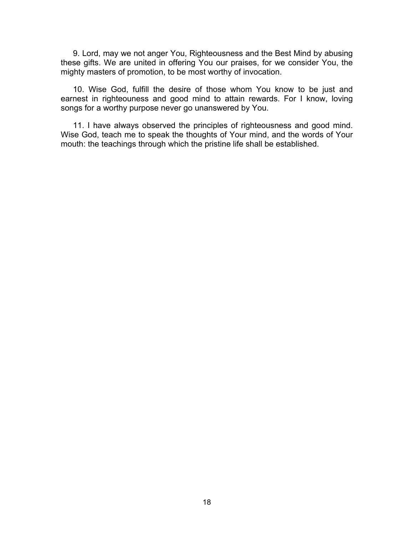9. Lord, may we not anger You, Righteousness and the Best Mind by abusing these gifts. We are united in offering You our praises, for we consider You, the mighty masters of promotion, to be most worthy of invocation.

10. Wise God, fulfill the desire of those whom You know to be just and earnest in righteouness and good mind to attain rewards. For I know, loving songs for a worthy purpose never go unanswered by You.

11. I have always observed the principles of righteousness and good mind. Wise God, teach me to speak the thoughts of Your mind, and the words of Your mouth: the teachings through which the pristine life shall be established.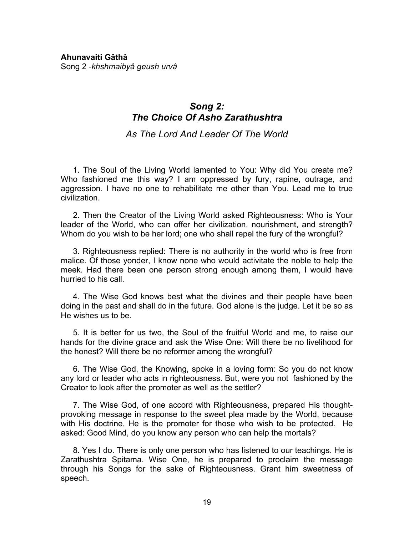### <span id="page-23-0"></span>*Song 2: The Choice Of Asho Zarathushtra*

*As The Lord And Leader Of The World* 

1. The Soul of the Living World lamented to You: Why did You create me? Who fashioned me this way? I am oppressed by fury, rapine, outrage, and aggression. I have no one to rehabilitate me other than You. Lead me to true civilization.

2. Then the Creator of the Living World asked Righteousness: Who is Your leader of the World, who can offer her civilization, nourishment, and strength? Whom do you wish to be her lord; one who shall repel the fury of the wrongful?

3. Righteousness replied: There is no authority in the world who is free from malice. Of those yonder, I know none who would activitate the noble to help the meek. Had there been one person strong enough among them, I would have hurried to his call.

4. The Wise God knows best what the divines and their people have been doing in the past and shall do in the future. God alone is the judge. Let it be so as He wishes us to be.

5. It is better for us two, the Soul of the fruitful World and me, to raise our hands for the divine grace and ask the Wise One: Will there be no livelihood for the honest? Will there be no reformer among the wrongful?

6. The Wise God, the Knowing, spoke in a loving form: So you do not know any lord or leader who acts in righteousness. But, were you not fashioned by the Creator to look after the promoter as well as the settler?

7. The Wise God, of one accord with Righteousness, prepared His thoughtprovoking message in response to the sweet plea made by the World, because with His doctrine, He is the promoter for those who wish to be protected. He asked: Good Mind, do you know any person who can help the mortals?

8. Yes I do. There is only one person who has listened to our teachings. He is Zarathushtra Spitama. Wise One, he is prepared to proclaim the message through his Songs for the sake of Righteousness. Grant him sweetness of speech.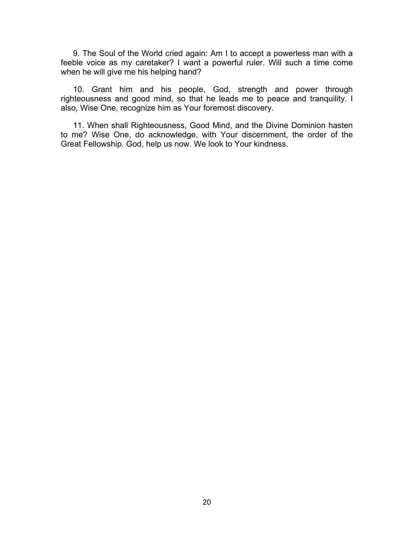9. The Soul of the World cried again: Am I to accept a powerless man with a feeble voice as my caretaker? I want a powerful ruler. Will such a time come when he will give me his helping hand?

10. Grant him and his people, God, strength and power through righteousness and good mind, so that he leads me to peace and tranquility. I also, Wise One, recognize him as Your foremost discovery.

11. When shall Righteousness, Good Mind, and the Divine Dominion hasten to me? Wise One, do acknowledge, with Your discernment, the order of the Great Fellowship. God, help us now. We look to Your kindness.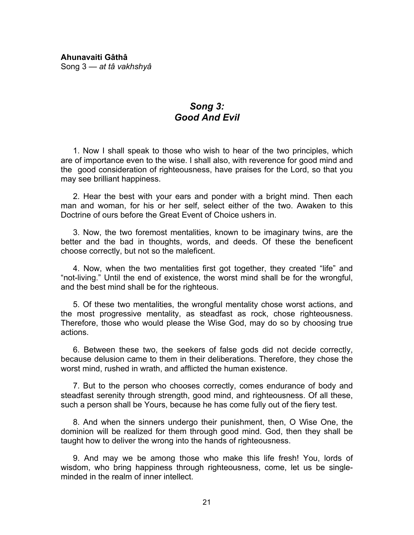### *Song 3: Good And Evil*

<span id="page-25-0"></span>1. Now I shall speak to those who wish to hear of the two principles, which are of importance even to the wise. I shall also, with reverence for good mind and the good consideration of righteousness, have praises for the Lord, so that you may see brilliant happiness.

2. Hear the best with your ears and ponder with a bright mind. Then each man and woman, for his or her self, select either of the two. Awaken to this Doctrine of ours before the Great Event of Choice ushers in.

3. Now, the two foremost mentalities, known to be imaginary twins, are the better and the bad in thoughts, words, and deeds. Of these the beneficent choose correctly, but not so the maleficent.

4. Now, when the two mentalities first got together, they created "life" and "not-living." Until the end of existence, the worst mind shall be for the wrongful, and the best mind shall be for the righteous.

5. Of these two mentalities, the wrongful mentality chose worst actions, and the most progressive mentality, as steadfast as rock, chose righteousness. Therefore, those who would please the Wise God, may do so by choosing true actions.

6. Between these two, the seekers of false gods did not decide correctly, because delusion came to them in their deliberations. Therefore, they chose the worst mind, rushed in wrath, and afflicted the human existence.

7. But to the person who chooses correctly, comes endurance of body and steadfast serenity through strength, good mind, and righteousness. Of all these, such a person shall be Yours, because he has come fully out of the fiery test.

8. And when the sinners undergo their punishment, then, O Wise One, the dominion will be realized for them through good mind. God, then they shall be taught how to deliver the wrong into the hands of righteousness.

9. And may we be among those who make this life fresh! You, lords of wisdom, who bring happiness through righteousness, come, let us be singleminded in the realm of inner intellect.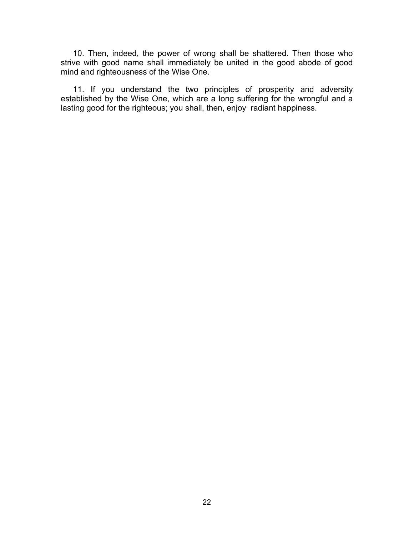10. Then, indeed, the power of wrong shall be shattered. Then those who strive with good name shall immediately be united in the good abode of good mind and righteousness of the Wise One.

11. If you understand the two principles of prosperity and adversity established by the Wise One, which are a long suffering for the wrongful and a lasting good for the righteous; you shall, then, enjoy radiant happiness.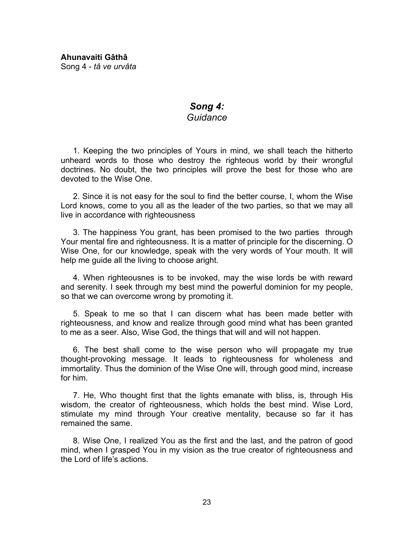<span id="page-27-0"></span>**Ahunavaiti Gâthâ**  Song 4 - *tâ ve urvâta*

### *Song 4: Guidance*

1. Keeping the two principles of Yours in mind, we shall teach the hitherto unheard words to those who destroy the righteous world by their wrongful doctrines. No doubt, the two principles will prove the best for those who are devoted to the Wise One.

2. Since it is not easy for the soul to find the better course, I, whom the Wise Lord knows, come to you all as the leader of the two parties, so that we may all live in accordance with righteousness

3. The happiness You grant, has been promised to the two parties through Your mental fire and righteousness. It is a matter of principle for the discerning. O Wise One, for our knowledge, speak with the very words of Your mouth. It will help me guide all the living to choose aright.

4. When righteousnes is to be invoked, may the wise lords be with reward and serenity. I seek through my best mind the powerful dominion for my people, so that we can overcome wrong by promoting it.

5. Speak to me so that I can discern what has been made better with righteousness, and know and realize through good mind what has been granted to me as a seer. Also, Wise God, the things that will and will not happen.

6. The best shall come to the wise person who will propagate my true thought-provoking message. It leads to righteousness for wholeness and immortality. Thus the dominion of the Wise One will, through good mind, increase for him.

7. He, Who thought first that the lights emanate with bliss, is, through His wisdom, the creator of righteousness, which holds the best mind. Wise Lord, stimulate my mind through Your creative mentality, because so far it has remained the same.

8. Wise One, I realized You as the first and the last, and the patron of good mind, when I grasped You in my vision as the true creator of righteousness and the Lord of life's actions.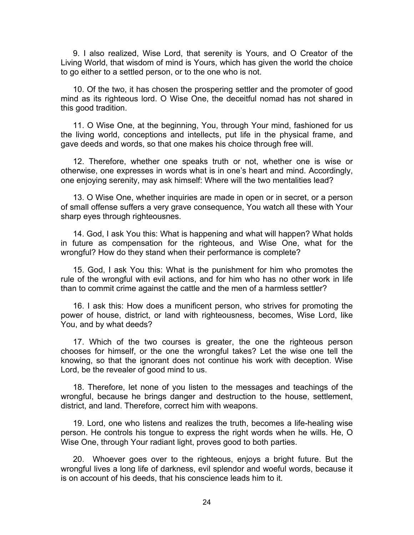9. I also realized, Wise Lord, that serenity is Yours, and O Creator of the Living World, that wisdom of mind is Yours, which has given the world the choice to go either to a settled person, or to the one who is not.

10. Of the two, it has chosen the prospering settler and the promoter of good mind as its righteous lord. O Wise One, the deceitful nomad has not shared in this good tradition.

11. O Wise One, at the beginning, You, through Your mind, fashioned for us the living world, conceptions and intellects, put life in the physical frame, and gave deeds and words, so that one makes his choice through free will.

12. Therefore, whether one speaks truth or not, whether one is wise or otherwise, one expresses in words what is in one's heart and mind. Accordingly, one enjoying serenity, may ask himself: Where will the two mentalities lead?

13. O Wise One, whether inquiries are made in open or in secret, or a person of small offense suffers a very grave consequence, You watch all these with Your sharp eyes through righteousnes.

14. God, I ask You this: What is happening and what will happen? What holds in future as compensation for the righteous, and Wise One, what for the wrongful? How do they stand when their performance is complete?

15. God, I ask You this: What is the punishment for him who promotes the rule of the wrongful with evil actions, and for him who has no other work in life than to commit crime against the cattle and the men of a harmless settler?

16. I ask this: How does a munificent person, who strives for promoting the power of house, district, or land with righteousness, becomes, Wise Lord, like You, and by what deeds?

17. Which of the two courses is greater, the one the righteous person chooses for himself, or the one the wrongful takes? Let the wise one tell the knowing, so that the ignorant does not continue his work with deception. Wise Lord, be the revealer of good mind to us.

18. Therefore, let none of you listen to the messages and teachings of the wrongful, because he brings danger and destruction to the house, settlement, district, and land. Therefore, correct him with weapons.

19. Lord, one who listens and realizes the truth, becomes a life-healing wise person. He controls his tongue to express the right words when he wills. He, O Wise One, through Your radiant light, proves good to both parties.

20. Whoever goes over to the righteous, enjoys a bright future. But the wrongful lives a long life of darkness, evil splendor and woeful words, because it is on account of his deeds, that his conscience leads him to it.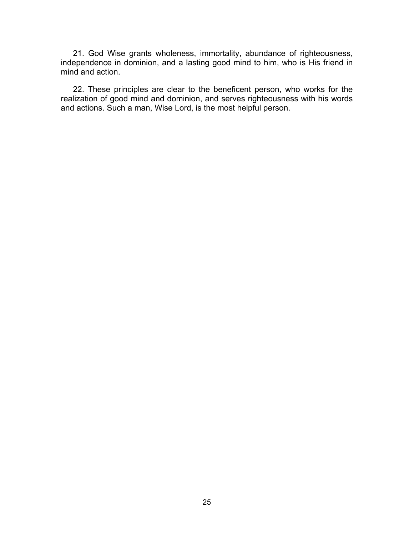21. God Wise grants wholeness, immortality, abundance of righteousness, independence in dominion, and a lasting good mind to him, who is His friend in mind and action.

22. These principles are clear to the beneficent person, who works for the realization of good mind and dominion, and serves righteousness with his words and actions. Such a man, Wise Lord, is the most helpful person.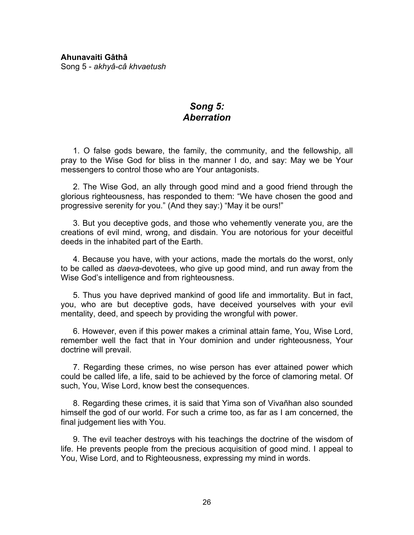### *Song 5: Aberration*

<span id="page-30-0"></span>1. O false gods beware, the family, the community, and the fellowship, all pray to the Wise God for bliss in the manner I do, and say: May we be Your messengers to control those who are Your antagonists.

2. The Wise God, an ally through good mind and a good friend through the glorious righteousness, has responded to them: "We have chosen the good and progressive serenity for you." (And they say:) "May it be ours!"

3. But you deceptive gods, and those who vehemently venerate you, are the creations of evil mind, wrong, and disdain. You are notorious for your deceitful deeds in the inhabited part of the Earth.

4. Because you have, with your actions, made the mortals do the worst, only to be called as *daeva*-devotees, who give up good mind, and run away from the Wise God's intelligence and from righteousness.

5. Thus you have deprived mankind of good life and immortality. But in fact, you, who are but deceptive gods, have deceived yourselves with your evil mentality, deed, and speech by providing the wrongful with power.

6. However, even if this power makes a criminal attain fame, You, Wise Lord, remember well the fact that in Your dominion and under righteousness, Your doctrine will prevail.

7. Regarding these crimes, no wise person has ever attained power which could be called life, a life, said to be achieved by the force of clamoring metal. Of such, You, Wise Lord, know best the consequences.

8. Regarding these crimes, it is said that Yima son of Vivañhan also sounded himself the god of our world. For such a crime too, as far as I am concerned, the final judgement lies with You.

9. The evil teacher destroys with his teachings the doctrine of the wisdom of life. He prevents people from the precious acquisition of good mind. I appeal to You, Wise Lord, and to Righteousness, expressing my mind in words.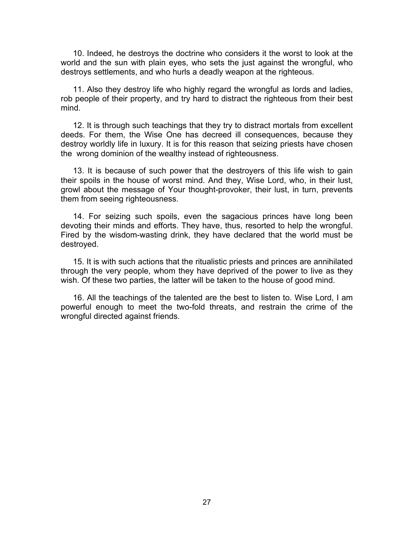10. Indeed, he destroys the doctrine who considers it the worst to look at the world and the sun with plain eyes, who sets the just against the wrongful, who destroys settlements, and who hurls a deadly weapon at the righteous.

11. Also they destroy life who highly regard the wrongful as lords and ladies, rob people of their property, and try hard to distract the righteous from their best mind.

12. It is through such teachings that they try to distract mortals from excellent deeds. For them, the Wise One has decreed ill consequences, because they destroy worldly life in luxury. It is for this reason that seizing priests have chosen the wrong dominion of the wealthy instead of righteousness.

13. It is because of such power that the destroyers of this life wish to gain their spoils in the house of worst mind. And they, Wise Lord, who, in their lust, growl about the message of Your thought-provoker, their lust, in turn, prevents them from seeing righteousness.

14. For seizing such spoils, even the sagacious princes have long been devoting their minds and efforts. They have, thus, resorted to help the wrongful. Fired by the wisdom-wasting drink, they have declared that the world must be destroyed.

15. It is with such actions that the ritualistic priests and princes are annihilated through the very people, whom they have deprived of the power to live as they wish. Of these two parties, the latter will be taken to the house of good mind.

16. All the teachings of the talented are the best to listen to. Wise Lord, I am powerful enough to meet the two-fold threats, and restrain the crime of the wrongful directed against friends.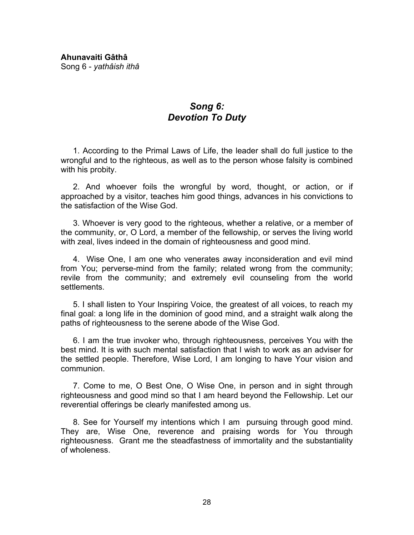<span id="page-32-0"></span>**Ahunavaiti Gâthâ**  Song 6 - *yathâish ithâ*

### *Song 6: Devotion To Duty*

1. According to the Primal Laws of Life, the leader shall do full justice to the wrongful and to the righteous, as well as to the person whose falsity is combined with his probity.

2. And whoever foils the wrongful by word, thought, or action, or if approached by a visitor, teaches him good things, advances in his convictions to the satisfaction of the Wise God.

3. Whoever is very good to the righteous, whether a relative, or a member of the community, or, O Lord, a member of the fellowship, or serves the living world with zeal, lives indeed in the domain of righteousness and good mind.

4. Wise One, I am one who venerates away inconsideration and evil mind from You; perverse-mind from the family; related wrong from the community; revile from the community; and extremely evil counseling from the world settlements.

5. I shall listen to Your Inspiring Voice, the greatest of all voices, to reach my final goal: a long life in the dominion of good mind, and a straight walk along the paths of righteousness to the serene abode of the Wise God.

6. I am the true invoker who, through righteousness, perceives You with the best mind. It is with such mental satisfaction that I wish to work as an adviser for the settled people. Therefore, Wise Lord, I am longing to have Your vision and communion.

7. Come to me, O Best One, O Wise One, in person and in sight through righteousness and good mind so that I am heard beyond the Fellowship. Let our reverential offerings be clearly manifested among us.

8. See for Yourself my intentions which I am pursuing through good mind. They are, Wise One, reverence and praising words for You through righteousness. Grant me the steadfastness of immortality and the substantiality of wholeness.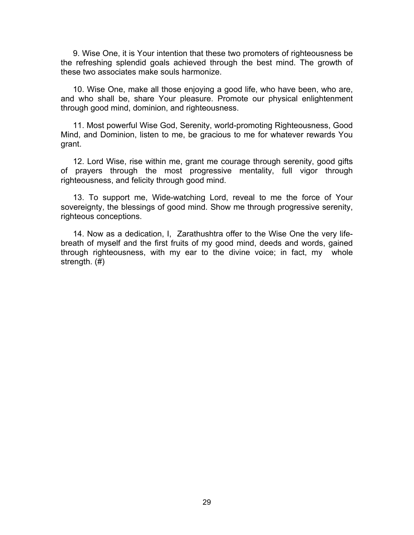9. Wise One, it is Your intention that these two promoters of righteousness be the refreshing splendid goals achieved through the best mind. The growth of these two associates make souls harmonize.

10. Wise One, make all those enjoying a good life, who have been, who are, and who shall be, share Your pleasure. Promote our physical enlightenment through good mind, dominion, and righteousness.

11. Most powerful Wise God, Serenity, world-promoting Righteousness, Good Mind, and Dominion, listen to me, be gracious to me for whatever rewards You grant.

12. Lord Wise, rise within me, grant me courage through serenity, good gifts of prayers through the most progressive mentality, full vigor through righteousness, and felicity through good mind.

13. To support me, Wide-watching Lord, reveal to me the force of Your sovereignty, the blessings of good mind. Show me through progressive serenity, righteous conceptions.

14. Now as a dedication, I, Zarathushtra offer to the Wise One the very lifebreath of myself and the first fruits of my good mind, deeds and words, gained through righteousness, with my ear to the divine voice; in fact, my whole strength. (#)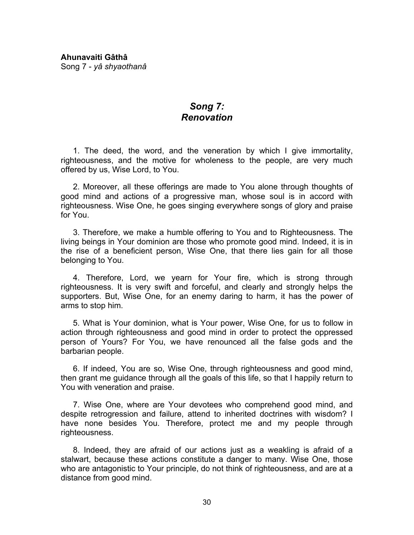### *Song 7: Renovation*

<span id="page-34-0"></span>1. The deed, the word, and the veneration by which I give immortality, righteousness, and the motive for wholeness to the people, are very much offered by us, Wise Lord, to You.

2. Moreover, all these offerings are made to You alone through thoughts of good mind and actions of a progressive man, whose soul is in accord with righteousness. Wise One, he goes singing everywhere songs of glory and praise for You.

3. Therefore, we make a humble offering to You and to Righteousness. The living beings in Your dominion are those who promote good mind. Indeed, it is in the rise of a beneficient person, Wise One, that there lies gain for all those belonging to You.

4. Therefore, Lord, we yearn for Your fire, which is strong through righteousness. It is very swift and forceful, and clearly and strongly helps the supporters. But, Wise One, for an enemy daring to harm, it has the power of arms to stop him.

5. What is Your dominion, what is Your power, Wise One, for us to follow in action through righteousness and good mind in order to protect the oppressed person of Yours? For You, we have renounced all the false gods and the barbarian people.

6. If indeed, You are so, Wise One, through righteousness and good mind, then grant me guidance through all the goals of this life, so that I happily return to You with veneration and praise.

7. Wise One, where are Your devotees who comprehend good mind, and despite retrogression and failure, attend to inherited doctrines with wisdom? I have none besides You. Therefore, protect me and my people through righteousness.

8. Indeed, they are afraid of our actions just as a weakling is afraid of a stalwart, because these actions constitute a danger to many. Wise One, those who are antagonistic to Your principle, do not think of righteousness, and are at a distance from good mind.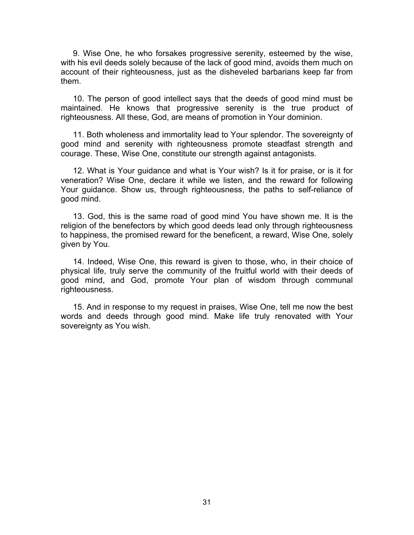9. Wise One, he who forsakes progressive serenity, esteemed by the wise, with his evil deeds solely because of the lack of good mind, avoids them much on account of their righteousness, just as the disheveled barbarians keep far from them.

10. The person of good intellect says that the deeds of good mind must be maintained. He knows that progressive serenity is the true product of righteousness. All these, God, are means of promotion in Your dominion.

11. Both wholeness and immortality lead to Your splendor. The sovereignty of good mind and serenity with righteousness promote steadfast strength and courage. These, Wise One, constitute our strength against antagonists.

12. What is Your guidance and what is Your wish? Is it for praise, or is it for veneration? Wise One, declare it while we listen, and the reward for following Your guidance. Show us, through righteousness, the paths to self-reliance of good mind.

13. God, this is the same road of good mind You have shown me. It is the religion of the benefectors by which good deeds lead only through righteousness to happiness, the promised reward for the beneficent, a reward, Wise One, solely given by You.

14. Indeed, Wise One, this reward is given to those, who, in their choice of physical life, truly serve the community of the fruitful world with their deeds of good mind, and God, promote Your plan of wisdom through communal righteousness.

15. And in response to my request in praises, Wise One, tell me now the best words and deeds through good mind. Make life truly renovated with Your sovereignty as You wish.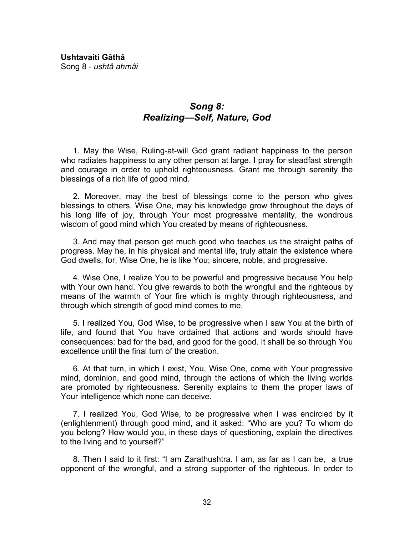**Ushtavaiti Gâthâ**  Song 8 - *ushtâ ahmâi*

# *Song 8: Realizing—Self, Nature, God*

1. May the Wise, Ruling-at-will God grant radiant happiness to the person who radiates happiness to any other person at large. I pray for steadfast strength and courage in order to uphold righteousness. Grant me through serenity the blessings of a rich life of good mind.

2. Moreover, may the best of blessings come to the person who gives blessings to others. Wise One, may his knowledge grow throughout the days of his long life of joy, through Your most progressive mentality, the wondrous wisdom of good mind which You created by means of righteousness.

3. And may that person get much good who teaches us the straight paths of progress. May he, in his physical and mental life, truly attain the existence where God dwells, for, Wise One, he is like You; sincere, noble, and progressive.

4. Wise One, I realize You to be powerful and progressive because You help with Your own hand. You give rewards to both the wrongful and the righteous by means of the warmth of Your fire which is mighty through righteousness, and through which strength of good mind comes to me.

5. I realized You, God Wise, to be progressive when I saw You at the birth of life, and found that You have ordained that actions and words should have consequences: bad for the bad, and good for the good. It shall be so through You excellence until the final turn of the creation.

6. At that turn, in which I exist, You, Wise One, come with Your progressive mind, dominion, and good mind, through the actions of which the living worlds are promoted by righteousness. Serenity explains to them the proper laws of Your intelligence which none can deceive.

7. I realized You, God Wise, to be progressive when I was encircled by it (enlightenment) through good mind, and it asked: "Who are you? To whom do you belong? How would you, in these days of questioning, explain the directives to the living and to yourself?"

8. Then I said to it first: "I am Zarathushtra. I am, as far as I can be, a true opponent of the wrongful, and a strong supporter of the righteous. In order to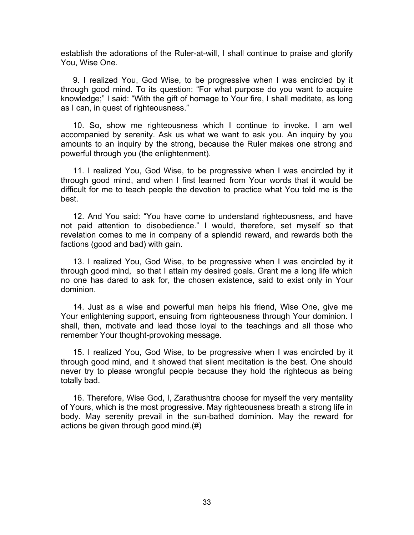establish the adorations of the Ruler-at-will, I shall continue to praise and glorify You, Wise One.

9. I realized You, God Wise, to be progressive when I was encircled by it through good mind. To its question: "For what purpose do you want to acquire knowledge;" I said: "With the gift of homage to Your fire, I shall meditate, as long as I can, in quest of righteousness."

10. So, show me righteousness which I continue to invoke. I am well accompanied by serenity. Ask us what we want to ask you. An inquiry by you amounts to an inquiry by the strong, because the Ruler makes one strong and powerful through you (the enlightenment).

11. I realized You, God Wise, to be progressive when I was encircled by it through good mind, and when I first learned from Your words that it would be difficult for me to teach people the devotion to practice what You told me is the best.

12. And You said: "You have come to understand righteousness, and have not paid attention to disobedience." I would, therefore, set myself so that revelation comes to me in company of a splendid reward, and rewards both the factions (good and bad) with gain.

13. I realized You, God Wise, to be progressive when I was encircled by it through good mind, so that I attain my desired goals. Grant me a long life which no one has dared to ask for, the chosen existence, said to exist only in Your dominion.

14. Just as a wise and powerful man helps his friend, Wise One, give me Your enlightening support, ensuing from righteousness through Your dominion. I shall, then, motivate and lead those loyal to the teachings and all those who remember Your thought-provoking message.

15. I realized You, God Wise, to be progressive when I was encircled by it through good mind, and it showed that silent meditation is the best. One should never try to please wrongful people because they hold the righteous as being totally bad.

16. Therefore, Wise God, I, Zarathushtra choose for myself the very mentality of Yours, which is the most progressive. May righteousness breath a strong life in body. May serenity prevail in the sun-bathed dominion. May the reward for actions be given through good mind.(#)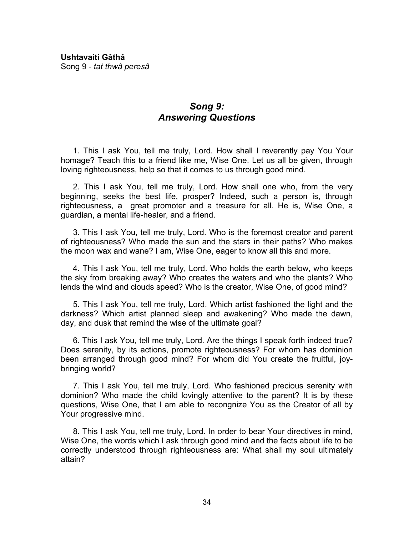# *Song 9: Answering Questions*

1. This I ask You, tell me truly, Lord. How shall I reverently pay You Your homage? Teach this to a friend like me, Wise One. Let us all be given, through loving righteousness, help so that it comes to us through good mind.

2. This I ask You, tell me truly, Lord. How shall one who, from the very beginning, seeks the best life, prosper? Indeed, such a person is, through righteousness, a great promoter and a treasure for all. He is, Wise One, a guardian, a mental life-healer, and a friend.

3. This I ask You, tell me truly, Lord. Who is the foremost creator and parent of righteousness? Who made the sun and the stars in their paths? Who makes the moon wax and wane? I am, Wise One, eager to know all this and more.

4. This I ask You, tell me truly, Lord. Who holds the earth below, who keeps the sky from breaking away? Who creates the waters and who the plants? Who lends the wind and clouds speed? Who is the creator, Wise One, of good mind?

5. This I ask You, tell me truly, Lord. Which artist fashioned the light and the darkness? Which artist planned sleep and awakening? Who made the dawn, day, and dusk that remind the wise of the ultimate goal?

6. This I ask You, tell me truly, Lord. Are the things I speak forth indeed true? Does serenity, by its actions, promote righteousness? For whom has dominion been arranged through good mind? For whom did You create the fruitful, joybringing world?

7. This I ask You, tell me truly, Lord. Who fashioned precious serenity with dominion? Who made the child lovingly attentive to the parent? It is by these questions, Wise One, that I am able to recongnize You as the Creator of all by Your progressive mind.

8. This I ask You, tell me truly, Lord. In order to bear Your directives in mind, Wise One, the words which I ask through good mind and the facts about life to be correctly understood through righteousness are: What shall my soul ultimately attain?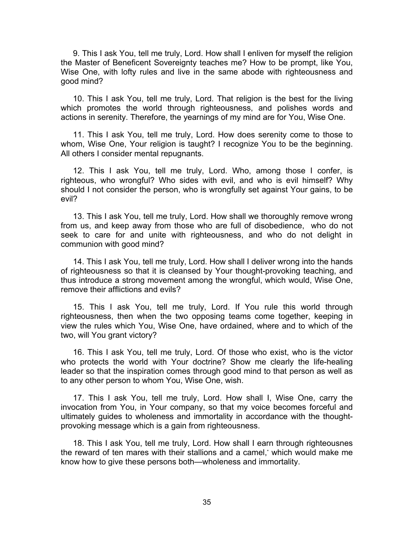9. This I ask You, tell me truly, Lord. How shall I enliven for myself the religion the Master of Beneficent Sovereignty teaches me? How to be prompt, like You, Wise One, with lofty rules and live in the same abode with righteousness and good mind?

10. This I ask You, tell me truly, Lord. That religion is the best for the living which promotes the world through righteousness, and polishes words and actions in serenity. Therefore, the yearnings of my mind are for You, Wise One.

11. This I ask You, tell me truly, Lord. How does serenity come to those to whom, Wise One, Your religion is taught? I recognize You to be the beginning. All others I consider mental repugnants.

12. This I ask You, tell me truly, Lord. Who, among those I confer, is righteous, who wrongful? Who sides with evil, and who is evil himself? Why should I not consider the person, who is wrongfully set against Your gains, to be evil?

13. This I ask You, tell me truly, Lord. How shall we thoroughly remove wrong from us, and keep away from those who are full of disobedience, who do not seek to care for and unite with righteousness, and who do not delight in communion with good mind?

14. This I ask You, tell me truly, Lord. How shall I deliver wrong into the hands of righteousness so that it is cleansed by Your thought-provoking teaching, and thus introduce a strong movement among the wrongful, which would, Wise One, remove their afflictions and evils?

15. This I ask You, tell me truly, Lord. If You rule this world through righteousness, then when the two opposing teams come together, keeping in view the rules which You, Wise One, have ordained, where and to which of the two, will You grant victory?

16. This I ask You, tell me truly, Lord. Of those who exist, who is the victor who protects the world with Your doctrine? Show me clearly the life-healing leader so that the inspiration comes through good mind to that person as well as to any other person to whom You, Wise One, wish.

17. This I ask You, tell me truly, Lord. How shall I, Wise One, carry the invocation from You, in Your company, so that my voice becomes forceful and ultimately guides to wholeness and immortality in accordance with the thoughtprovoking message which is a gain from righteousness.

18. This I ask You, tell me truly, Lord. How shall I earn through righteousnes the reward of ten mares with their stallions and a camel,\* which would make me know how to give these persons both—wholeness and immortality.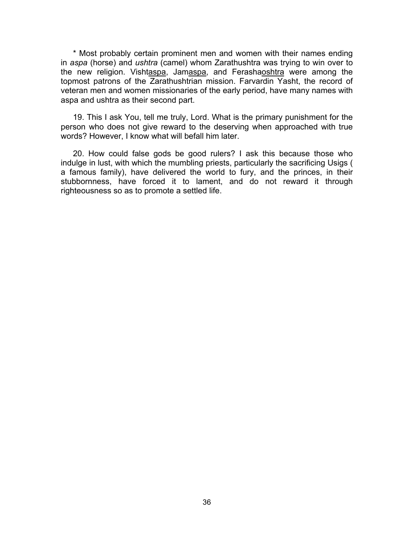\* Most probably certain prominent men and women with their names ending in *aspa* (horse) and *ushtra* (camel) whom Zarathushtra was trying to win over to the new religion. Vishtaspa, Jamaspa, and Ferashaoshtra were among the topmost patrons of the Zarathushtrian mission. Farvardin Yasht, the record of veteran men and women missionaries of the early period, have many names with aspa and ushtra as their second part.

19. This I ask You, tell me truly, Lord. What is the primary punishment for the person who does not give reward to the deserving when approached with true words? However, I know what will befall him later.

20. How could false gods be good rulers? I ask this because those who indulge in lust, with which the mumbling priests, particularly the sacrificing Usigs ( a famous family), have delivered the world to fury, and the princes, in their stubbornness, have forced it to lament, and do not reward it through righteousness so as to promote a settled life.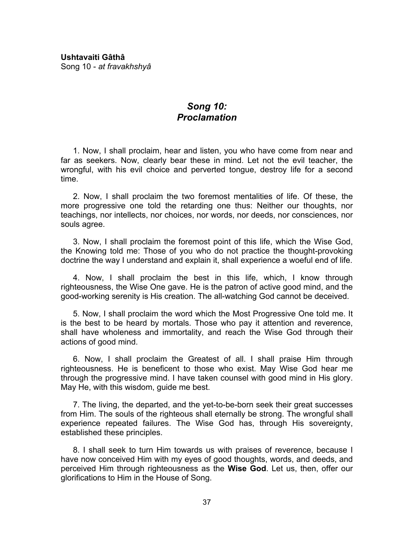# *Song 10: Proclamation*

1. Now, I shall proclaim, hear and listen, you who have come from near and far as seekers. Now, clearly bear these in mind. Let not the evil teacher, the wrongful, with his evil choice and perverted tongue, destroy life for a second time.

2. Now, I shall proclaim the two foremost mentalities of life. Of these, the more progressive one told the retarding one thus: Neither our thoughts, nor teachings, nor intellects, nor choices, nor words, nor deeds, nor consciences, nor souls agree.

3. Now, I shall proclaim the foremost point of this life, which the Wise God, the Knowing told me: Those of you who do not practice the thought-provoking doctrine the way I understand and explain it, shall experience a woeful end of life.

4. Now, I shall proclaim the best in this life, which, I know through righteousness, the Wise One gave. He is the patron of active good mind, and the good-working serenity is His creation. The all-watching God cannot be deceived.

5. Now, I shall proclaim the word which the Most Progressive One told me. It is the best to be heard by mortals. Those who pay it attention and reverence, shall have wholeness and immortality, and reach the Wise God through their actions of good mind.

6. Now, I shall proclaim the Greatest of all. I shall praise Him through righteousness. He is beneficent to those who exist. May Wise God hear me through the progressive mind. I have taken counsel with good mind in His glory. May He, with this wisdom, guide me best.

7. The living, the departed, and the yet-to-be-born seek their great successes from Him. The souls of the righteous shall eternally be strong. The wrongful shall experience repeated failures. The Wise God has, through His sovereignty, established these principles.

8. I shall seek to turn Him towards us with praises of reverence, because I have now conceived Him with my eyes of good thoughts, words, and deeds, and perceived Him through righteousness as the **Wise God**. Let us, then, offer our glorifications to Him in the House of Song.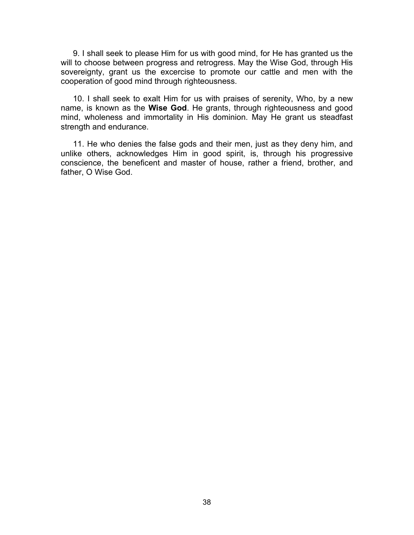9. I shall seek to please Him for us with good mind, for He has granted us the will to choose between progress and retrogress. May the Wise God, through His sovereignty, grant us the excercise to promote our cattle and men with the cooperation of good mind through righteousness.

10. I shall seek to exalt Him for us with praises of serenity, Who, by a new name, is known as the **Wise God**. He grants, through righteousness and good mind, wholeness and immortality in His dominion. May He grant us steadfast strength and endurance.

11. He who denies the false gods and their men, just as they deny him, and unlike others, acknowledges Him in good spirit, is, through his progressive conscience, the beneficent and master of house, rather a friend, brother, and father, O Wise God.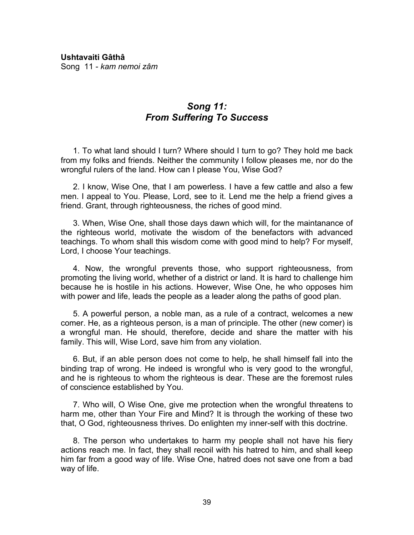**Ushtavaiti Gâthâ**  Song 11 - *kam nemoi zâm*

# *Song 11: From Suffering To Success*

1. To what land should I turn? Where should I turn to go? They hold me back from my folks and friends. Neither the community I follow pleases me, nor do the wrongful rulers of the land. How can I please You, Wise God?

2. I know, Wise One, that I am powerless. I have a few cattle and also a few men. I appeal to You. Please, Lord, see to it. Lend me the help a friend gives a friend. Grant, through righteousness, the riches of good mind.

3. When, Wise One, shall those days dawn which will, for the maintanance of the righteous world, motivate the wisdom of the benefactors with advanced teachings. To whom shall this wisdom come with good mind to help? For myself, Lord, I choose Your teachings.

4. Now, the wrongful prevents those, who support righteousness, from promoting the living world, whether of a district or land. It is hard to challenge him because he is hostile in his actions. However, Wise One, he who opposes him with power and life, leads the people as a leader along the paths of good plan.

5. A powerful person, a noble man, as a rule of a contract, welcomes a new comer. He, as a righteous person, is a man of principle. The other (new comer) is a wrongful man. He should, therefore, decide and share the matter with his family. This will, Wise Lord, save him from any violation.

6. But, if an able person does not come to help, he shall himself fall into the binding trap of wrong. He indeed is wrongful who is very good to the wrongful, and he is righteous to whom the righteous is dear. These are the foremost rules of conscience established by You.

7. Who will, O Wise One, give me protection when the wrongful threatens to harm me, other than Your Fire and Mind? It is through the working of these two that, O God, righteousness thrives. Do enlighten my inner-self with this doctrine.

8. The person who undertakes to harm my people shall not have his fiery actions reach me. In fact, they shall recoil with his hatred to him, and shall keep him far from a good way of life. Wise One, hatred does not save one from a bad way of life.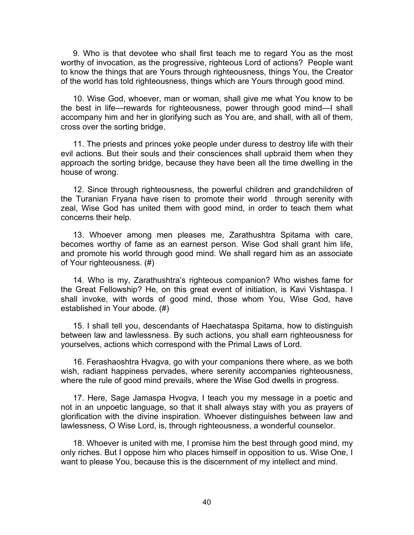9. Who is that devotee who shall first teach me to regard You as the most worthy of invocation, as the progressive, righteous Lord of actions? People want to know the things that are Yours through righteousness, things You, the Creator of the world has told righteousness, things which are Yours through good mind.

10. Wise God, whoever, man or woman, shall give me what You know to be the best in life—rewards for righteousness, power through good mind—I shall accompany him and her in glorifying such as You are, and shall, with all of them, cross over the sorting bridge.

11. The priests and princes yoke people under duress to destroy life with their evil actions. But their souls and their consciences shall upbraid them when they approach the sorting bridge, because they have been all the time dwelling in the house of wrong.

12. Since through righteousness, the powerful children and grandchildren of the Turanian Fryana have risen to promote their world through serenity with zeal, Wise God has united them with good mind, in order to teach them what concerns their help.

13. Whoever among men pleases me, Zarathushtra Spitama with care, becomes worthy of fame as an earnest person. Wise God shall grant him life, and promote his world through good mind. We shall regard him as an associate of Your righteousness. (#)

14. Who is my, Zarathushtra's righteous companion? Who wishes fame for the Great Fellowship? He, on this great event of initiation, is Kavi Vishtaspa. I shall invoke, with words of good mind, those whom You, Wise God, have established in Your abode. (#)

15. I shall tell you, descendants of Haechataspa Spitama, how to distinguish between law and lawlessness. By such actions, you shall earn righteousness for yourselves, actions which correspond with the Primal Laws of Lord.

16. Ferashaoshtra Hvagva, go with your companions there where, as we both wish, radiant happiness pervades, where serenity accompanies righteousness, where the rule of good mind prevails, where the Wise God dwells in progress.

17. Here, Sage Jamaspa Hvogva, I teach you my message in a poetic and not in an unpoetic language, so that it shall always stay with you as prayers of glorification with the divine inspiration. Whoever distinguishes between law and lawlessness, O Wise Lord, is, through righteousness, a wonderful counselor.

18. Whoever is united with me, I promise him the best through good mind, my only riches. But I oppose him who places himself in opposition to us. Wise One, I want to please You, because this is the discernment of my intellect and mind.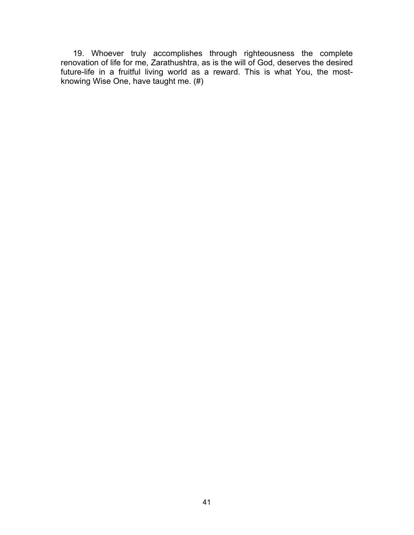19. Whoever truly accomplishes through righteousness the complete renovation of life for me, Zarathushtra, as is the will of God, deserves the desired future-life in a fruitful living world as a reward. This is what You, the mostknowing Wise One, have taught me. (#)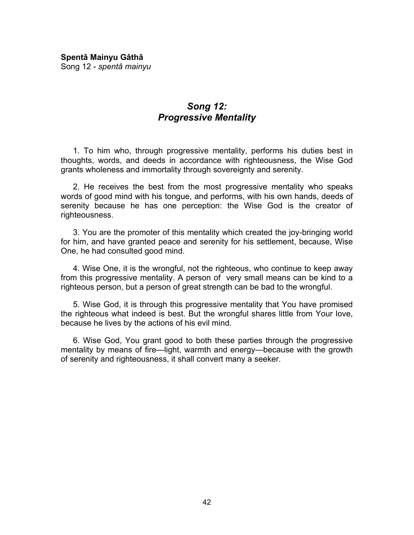**Spentâ Mainyu Gâthâ**  Song 12 - *spentâ mainyu*

# *Song 12: Progressive Mentality*

1. To him who, through progressive mentality, performs his duties best in thoughts, words, and deeds in accordance with righteousness, the Wise God grants wholeness and immortality through sovereignty and serenity.

2. He receives the best from the most progressive mentality who speaks words of good mind with his tongue, and performs, with his own hands, deeds of serenity because he has one perception: the Wise God is the creator of righteousness.

3. You are the promoter of this mentality which created the joy-bringing world for him, and have granted peace and serenity for his settlement, because, Wise One, he had consulted good mind.

4. Wise One, it is the wrongful, not the righteous, who continue to keep away from this progressive mentality. A person of very small means can be kind to a righteous person, but a person of great strength can be bad to the wrongful.

5. Wise God, it is through this progressive mentality that You have promised the righteous what indeed is best. But the wrongful shares little from Your love, because he lives by the actions of his evil mind.

6. Wise God, You grant good to both these parties through the progressive mentality by means of fire—light, warmth and energy—because with the growth of serenity and righteousness, it shall convert many a seeker.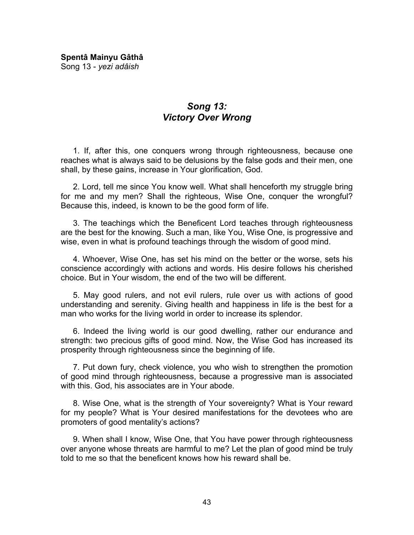**Spentâ Mainyu Gâthâ**  Song 13 - *yezi adâish*

# *Song 13: Victory Over Wrong*

1. If, after this, one conquers wrong through righteousness, because one reaches what is always said to be delusions by the false gods and their men, one shall, by these gains, increase in Your glorification, God.

2. Lord, tell me since You know well. What shall henceforth my struggle bring for me and my men? Shall the righteous, Wise One, conquer the wrongful? Because this, indeed, is known to be the good form of life.

3. The teachings which the Beneficent Lord teaches through righteousness are the best for the knowing. Such a man, like You, Wise One, is progressive and wise, even in what is profound teachings through the wisdom of good mind.

4. Whoever, Wise One, has set his mind on the better or the worse, sets his conscience accordingly with actions and words. His desire follows his cherished choice. But in Your wisdom, the end of the two will be different.

5. May good rulers, and not evil rulers, rule over us with actions of good understanding and serenity. Giving health and happiness in life is the best for a man who works for the living world in order to increase its splendor.

6. Indeed the living world is our good dwelling, rather our endurance and strength: two precious gifts of good mind. Now, the Wise God has increased its prosperity through righteousness since the beginning of life.

7. Put down fury, check violence, you who wish to strengthen the promotion of good mind through righteousness, because a progressive man is associated with this. God, his associates are in Your abode.

8. Wise One, what is the strength of Your sovereignty? What is Your reward for my people? What is Your desired manifestations for the devotees who are promoters of good mentality's actions?

9. When shall I know, Wise One, that You have power through righteousness over anyone whose threats are harmful to me? Let the plan of good mind be truly told to me so that the beneficent knows how his reward shall be.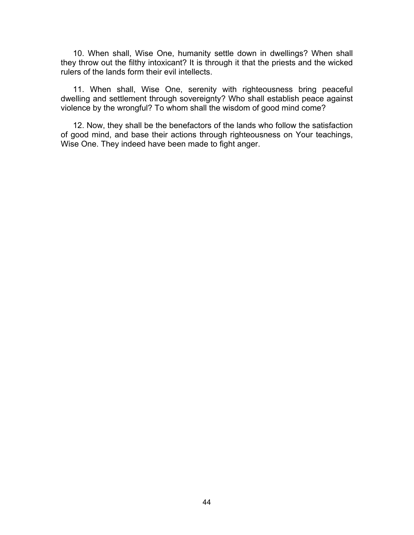10. When shall, Wise One, humanity settle down in dwellings? When shall they throw out the filthy intoxicant? It is through it that the priests and the wicked rulers of the lands form their evil intellects.

11. When shall, Wise One, serenity with righteousness bring peaceful dwelling and settlement through sovereignty? Who shall establish peace against violence by the wrongful? To whom shall the wisdom of good mind come?

12. Now, they shall be the benefactors of the lands who follow the satisfaction of good mind, and base their actions through righteousness on Your teachings, Wise One. They indeed have been made to fight anger.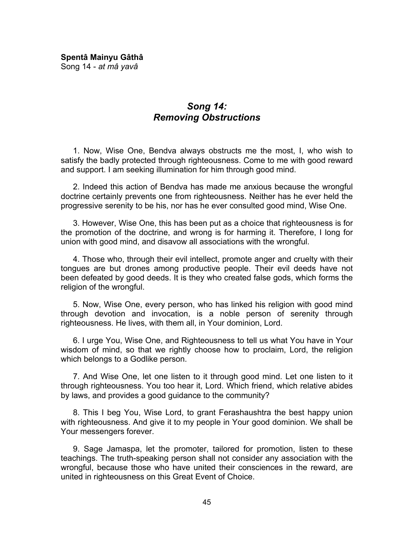**Spentâ Mainyu Gâthâ**  Song 14 - *at mâ yavâ*

# *Song 14: Removing Obstructions*

1. Now, Wise One, Bendva always obstructs me the most, I, who wish to satisfy the badly protected through righteousness. Come to me with good reward and support. I am seeking illumination for him through good mind.

2. Indeed this action of Bendva has made me anxious because the wrongful doctrine certainly prevents one from righteousness. Neither has he ever held the progressive serenity to be his, nor has he ever consulted good mind, Wise One.

3. However, Wise One, this has been put as a choice that righteousness is for the promotion of the doctrine, and wrong is for harming it. Therefore, I long for union with good mind, and disavow all associations with the wrongful.

4. Those who, through their evil intellect, promote anger and cruelty with their tongues are but drones among productive people. Their evil deeds have not been defeated by good deeds. It is they who created false gods, which forms the religion of the wrongful.

5. Now, Wise One, every person, who has linked his religion with good mind through devotion and invocation, is a noble person of serenity through righteousness. He lives, with them all, in Your dominion, Lord.

6. I urge You, Wise One, and Righteousness to tell us what You have in Your wisdom of mind, so that we rightly choose how to proclaim, Lord, the religion which belongs to a Godlike person.

7. And Wise One, let one listen to it through good mind. Let one listen to it through righteousness. You too hear it, Lord. Which friend, which relative abides by laws, and provides a good guidance to the community?

8. This I beg You, Wise Lord, to grant Ferashaushtra the best happy union with righteousness. And give it to my people in Your good dominion. We shall be Your messengers forever.

9. Sage Jamaspa, let the promoter, tailored for promotion, listen to these teachings. The truth-speaking person shall not consider any association with the wrongful, because those who have united their consciences in the reward, are united in righteousness on this Great Event of Choice.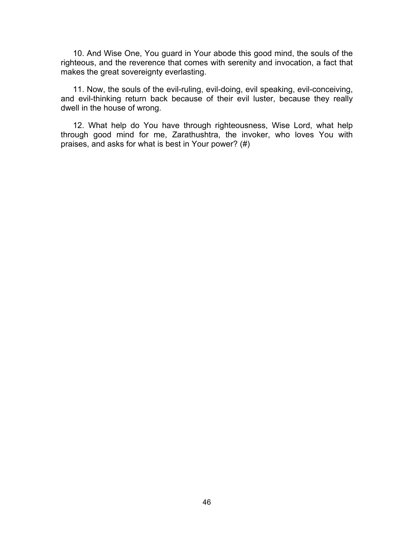10. And Wise One, You guard in Your abode this good mind, the souls of the righteous, and the reverence that comes with serenity and invocation, a fact that makes the great sovereignty everlasting.

11. Now, the souls of the evil-ruling, evil-doing, evil speaking, evil-conceiving, and evil-thinking return back because of their evil luster, because they really dwell in the house of wrong.

12. What help do You have through righteousness, Wise Lord, what help through good mind for me, Zarathushtra, the invoker, who loves You with praises, and asks for what is best in Your power? (#)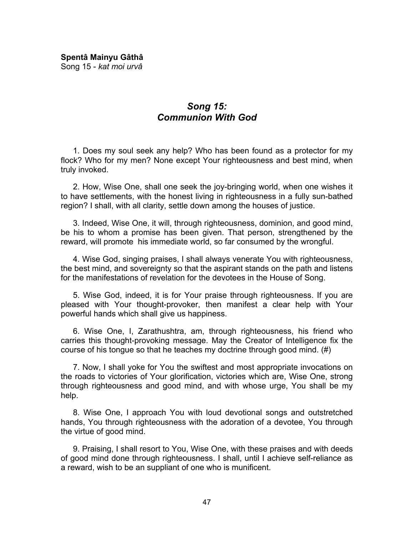**Spentâ Mainyu Gâthâ**  Song 15 - *kat moi urvâ*

# *Song 15: Communion With God*

1. Does my soul seek any help? Who has been found as a protector for my flock? Who for my men? None except Your righteousness and best mind, when truly invoked.

2. How, Wise One, shall one seek the joy-bringing world, when one wishes it to have settlements, with the honest living in righteousness in a fully sun-bathed region? I shall, with all clarity, settle down among the houses of justice.

3. Indeed, Wise One, it will, through righteousness, dominion, and good mind, be his to whom a promise has been given. That person, strengthened by the reward, will promote his immediate world, so far consumed by the wrongful.

4. Wise God, singing praises, I shall always venerate You with righteousness, the best mind, and sovereignty so that the aspirant stands on the path and listens for the manifestations of revelation for the devotees in the House of Song.

5. Wise God, indeed, it is for Your praise through righteousness. If you are pleased with Your thought-provoker, then manifest a clear help with Your powerful hands which shall give us happiness.

6. Wise One, I, Zarathushtra, am, through righteousness, his friend who carries this thought-provoking message. May the Creator of Intelligence fix the course of his tongue so that he teaches my doctrine through good mind. (#)

7. Now, I shall yoke for You the swiftest and most appropriate invocations on the roads to victories of Your glorification, victories which are, Wise One, strong through righteousness and good mind, and with whose urge, You shall be my help.

8. Wise One, I approach You with loud devotional songs and outstretched hands, You through righteousness with the adoration of a devotee, You through the virtue of good mind.

9. Praising, I shall resort to You, Wise One, with these praises and with deeds of good mind done through righteousness. I shall, until I achieve self-reliance as a reward, wish to be an suppliant of one who is munificent.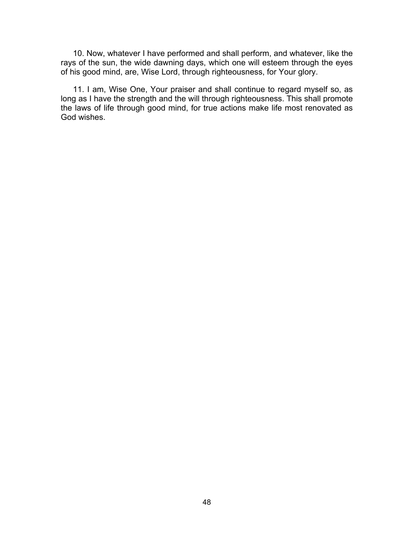10. Now, whatever I have performed and shall perform, and whatever, like the rays of the sun, the wide dawning days, which one will esteem through the eyes of his good mind, are, Wise Lord, through righteousness, for Your glory.

11. I am, Wise One, Your praiser and shall continue to regard myself so, as long as I have the strength and the will through righteousness. This shall promote the laws of life through good mind, for true actions make life most renovated as God wishes.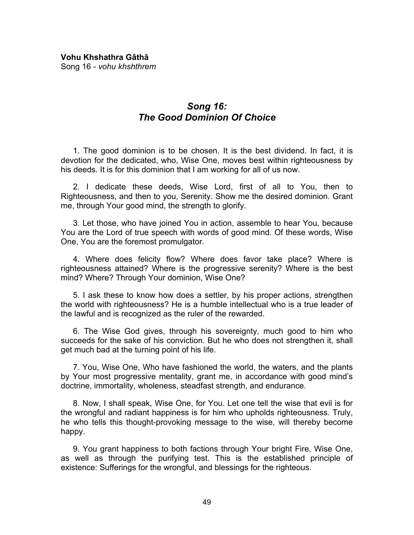# *Song 16: The Good Dominion Of Choice*

1. The good dominion is to be chosen. It is the best dividend. In fact, it is devotion for the dedicated, who, Wise One, moves best within righteousness by his deeds. It is for this dominion that I am working for all of us now.

2. I dedicate these deeds, Wise Lord, first of all to You, then to Righteousness, and then to you, Serenity. Show me the desired dominion. Grant me, through Your good mind, the strength to glorify.

3. Let those, who have joined You in action, assemble to hear You, because You are the Lord of true speech with words of good mind. Of these words, Wise One, You are the foremost promulgator.

4. Where does felicity flow? Where does favor take place? Where is righteousness attained? Where is the progressive serenity? Where is the best mind? Where? Through Your dominion, Wise One?

5. I ask these to know how does a settler, by his proper actions, strengthen the world with righteousness? He is a humble intellectual who is a true leader of the lawful and is recognized as the ruler of the rewarded.

6. The Wise God gives, through his sovereignty, much good to him who succeeds for the sake of his conviction. But he who does not strengthen it, shall get much bad at the turning point of his life.

7. You, Wise One, Who have fashioned the world, the waters, and the plants by Your most progressive mentality, grant me, in accordance with good mind's doctrine, immortality, wholeness, steadfast strength, and endurance.

8. Now, I shall speak, Wise One, for You. Let one tell the wise that evil is for the wrongful and radiant happiness is for him who upholds righteousness. Truly, he who tells this thought-provoking message to the wise, will thereby become happy.

9. You grant happiness to both factions through Your bright Fire, Wise One, as well as through the purifying test. This is the established principle of existence: Sufferings for the wrongful, and blessings for the righteous.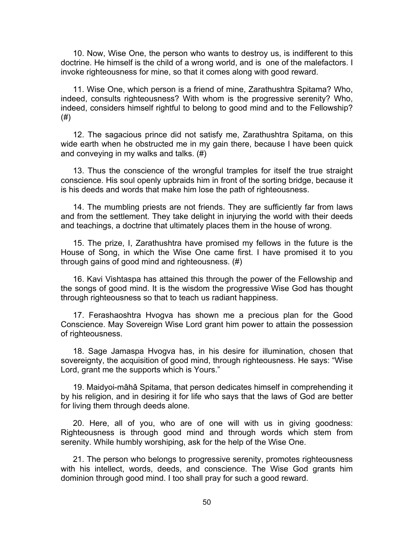10. Now, Wise One, the person who wants to destroy us, is indifferent to this doctrine. He himself is the child of a wrong world, and is one of the malefactors. I invoke righteousness for mine, so that it comes along with good reward.

11. Wise One, which person is a friend of mine, Zarathushtra Spitama? Who, indeed, consults righteousness? With whom is the progressive serenity? Who, indeed, considers himself rightful to belong to good mind and to the Fellowship? (#)

12. The sagacious prince did not satisfy me, Zarathushtra Spitama, on this wide earth when he obstructed me in my gain there, because I have been quick and conveying in my walks and talks. (#)

13. Thus the conscience of the wrongful tramples for itself the true straight conscience. His soul openly upbraids him in front of the sorting bridge, because it is his deeds and words that make him lose the path of righteousness.

14. The mumbling priests are not friends. They are sufficiently far from laws and from the settlement. They take delight in injurying the world with their deeds and teachings, a doctrine that ultimately places them in the house of wrong.

15. The prize, I, Zarathushtra have promised my fellows in the future is the House of Song, in which the Wise One came first. I have promised it to you through gains of good mind and righteousness. (#)

16. Kavi Vishtaspa has attained this through the power of the Fellowship and the songs of good mind. It is the wisdom the progressive Wise God has thought through righteousness so that to teach us radiant happiness.

17. Ferashaoshtra Hvogva has shown me a precious plan for the Good Conscience. May Sovereign Wise Lord grant him power to attain the possession of righteousness.

18. Sage Jamaspa Hvogva has, in his desire for illumination, chosen that sovereignty, the acquisition of good mind, through righteousness. He says: "Wise Lord, grant me the supports which is Yours."

19. Maidyoi-mâhâ Spitama, that person dedicates himself in comprehending it by his religion, and in desiring it for life who says that the laws of God are better for living them through deeds alone.

20. Here, all of you, who are of one will with us in giving goodness: Righteousness is through good mind and through words which stem from serenity. While humbly worshiping, ask for the help of the Wise One.

21. The person who belongs to progressive serenity, promotes righteousness with his intellect, words, deeds, and conscience. The Wise God grants him dominion through good mind. I too shall pray for such a good reward.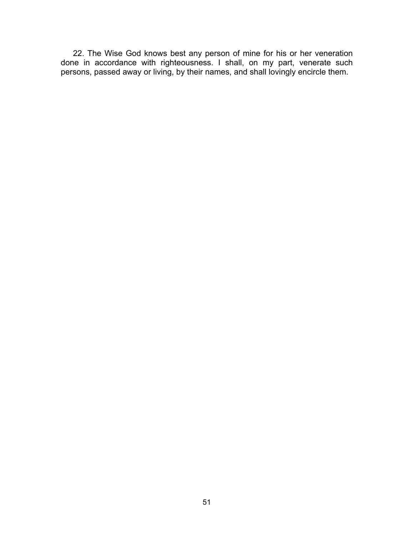22. The Wise God knows best any person of mine for his or her veneration done in accordance with righteousness. I shall, on my part, venerate such persons, passed away or living, by their names, and shall lovingly encircle them.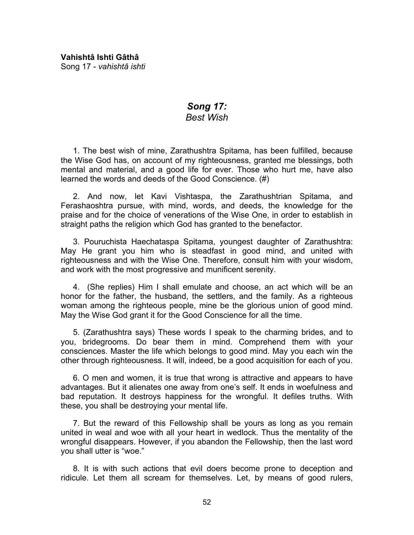# *Song 17: Best Wish*

1. The best wish of mine, Zarathushtra Spitama, has been fulfilled, because the Wise God has, on account of my righteousness, granted me blessings, both mental and material, and a good life for ever. Those who hurt me, have also learned the words and deeds of the Good Conscience. (#)

2. And now, let Kavi Vishtaspa, the Zarathushtrian Spitama, and Ferashaoshtra pursue, with mind, words, and deeds, the knowledge for the praise and for the choice of venerations of the Wise One, in order to establish in straight paths the religion which God has granted to the benefactor.

3. Pouruchista Haechataspa Spitama, youngest daughter of Zarathushtra: May He grant you him who is steadfast in good mind, and united with righteousness and with the Wise One. Therefore, consult him with your wisdom, and work with the most progressive and munificent serenity.

4. (She replies) Him I shall emulate and choose, an act which will be an honor for the father, the husband, the settlers, and the family. As a righteous woman among the righteous people, mine be the glorious union of good mind. May the Wise God grant it for the Good Conscience for all the time.

5. (Zarathushtra says) These words I speak to the charming brides, and to you, bridegrooms. Do bear them in mind. Comprehend them with your consciences. Master the life which belongs to good mind. May you each win the other through righteousness. It will, indeed, be a good acquisition for each of you.

6. O men and women, it is true that wrong is attractive and appears to have advantages. But it alienates one away from one's self. It ends in woefulness and bad reputation. It destroys happiness for the wrongful. It defiles truths. With these, you shall be destroying your mental life.

7. But the reward of this Fellowship shall be yours as long as you remain united in weal and woe with all your heart in wedlock. Thus the mentality of the wrongful disappears. However, if you abandon the Fellowship, then the last word you shall utter is "woe."

8. It is with such actions that evil doers become prone to deception and ridicule. Let them all scream for themselves. Let, by means of good rulers,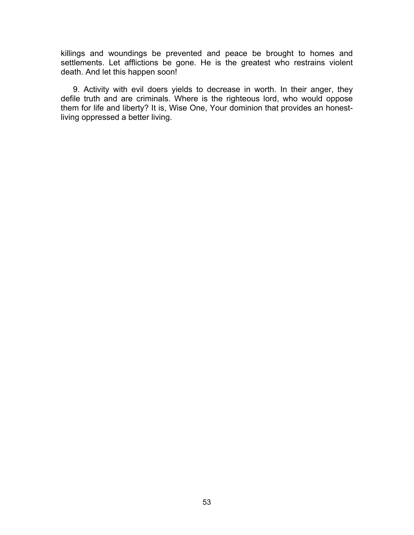killings and woundings be prevented and peace be brought to homes and settlements. Let afflictions be gone. He is the greatest who restrains violent death. And let this happen soon!

9. Activity with evil doers yields to decrease in worth. In their anger, they defile truth and are criminals. Where is the righteous lord, who would oppose them for life and liberty? It is, Wise One, Your dominion that provides an honestliving oppressed a better living.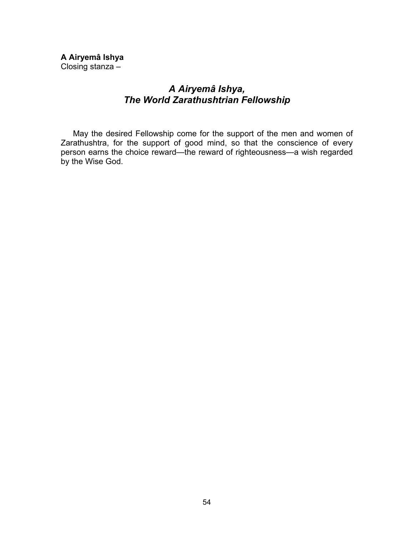**A Airyemâ Ishya**  Closing stanza –

# *A Airyemâ Ishya, The World Zarathushtrian Fellowship*

May the desired Fellowship come for the support of the men and women of Zarathushtra, for the support of good mind, so that the conscience of every person earns the choice reward—the reward of righteousness—a wish regarded by the Wise God.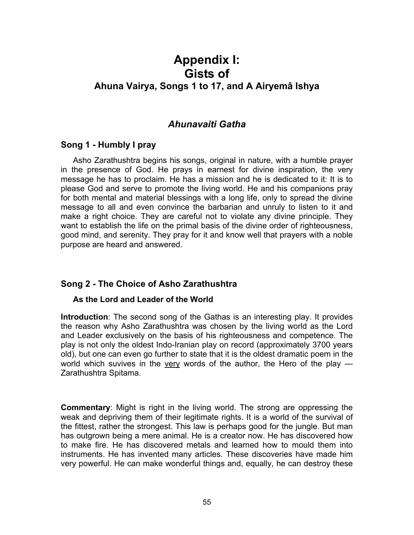# **Appendix I: Gists of Ahuna Vairya, Songs 1 to 17, and A Airyemâ Ishya**

# *Ahunavaiti Gatha*

## **Song 1 - Humbly I pray**

Asho Zarathushtra begins his songs, original in nature, with a humble prayer in the presence of God. He prays in earnest for divine inspiration, the very message he has to proclaim. He has a mission and he is dedicated to it: It is to please God and serve to promote the living world. He and his companions pray for both mental and material blessings with a long life, only to spread the divine message to all and even convince the barbarian and unruly to listen to it and make a right choice. They are careful not to violate any divine principle. They want to establish the life on the primal basis of the divine order of righteousness, good mind, and serenity. They pray for it and know well that prayers with a noble purpose are heard and answered.

## **Song 2 - The Choice of Asho Zarathushtra**

#### **As the Lord and Leader of the World**

**Introduction**: The second song of the Gathas is an interesting play. It provides the reason why Asho Zarathushtra was chosen by the living world as the Lord and Leader exclusively on the basis of his righteousness and competence. The play is not only the oldest Indo-Iranian play on record (approximately 3700 years old), but one can even go further to state that it is the oldest dramatic poem in the world which suvives in the very words of the author, the Hero of the play  $-$ Zarathushtra Spitama.

**Commentary**: Might is right in the living world. The strong are oppressing the weak and depriving them of their legitimate rights. It is a world of the survival of the fittest, rather the strongest. This law is perhaps good for the jungle. But man has outgrown being a mere animal. He is a creator now. He has discovered how to make fire. He has discovered metals and learned how to mould them into instruments. He has invented many articles. These discoveries have made him very powerful. He can make wonderful things and, equally, he can destroy these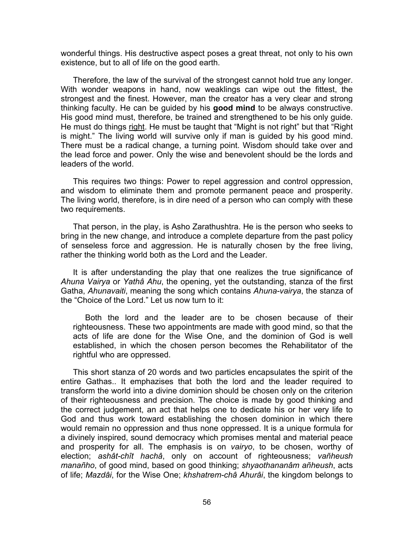wonderful things. His destructive aspect poses a great threat, not only to his own existence, but to all of life on the good earth.

Therefore, the law of the survival of the strongest cannot hold true any longer. With wonder weapons in hand, now weaklings can wipe out the fittest, the strongest and the finest. However, man the creator has a very clear and strong thinking faculty. He can be guided by his **good mind** to be always constructive. His good mind must, therefore, be trained and strengthened to be his only guide. He must do things right. He must be taught that "Might is not right" but that "Right is might." The living world will survive only if man is guided by his good mind. There must be a radical change, a turning point. Wisdom should take over and the lead force and power. Only the wise and benevolent should be the lords and leaders of the world.

This requires two things: Power to repel aggression and control oppression, and wisdom to eliminate them and promote permanent peace and prosperity. The living world, therefore, is in dire need of a person who can comply with these two requirements.

That person, in the play, is Asho Zarathushtra. He is the person who seeks to bring in the new change, and introduce a complete departure from the past policy of senseless force and aggression. He is naturally chosen by the free living, rather the thinking world both as the Lord and the Leader.

It is after understanding the play that one realizes the true significance of *Ahuna Vairya* or *Yathâ Ahu*, the opening, yet the outstanding, stanza of the first Gatha, *Ahunavaiti*, meaning the song which contains *Ahuna-vairya*, the stanza of the "Choice of the Lord." Let us now turn to it:

Both the lord and the leader are to be chosen because of their righteousness. These two appointments are made with good mind, so that the acts of life are done for the Wise One, and the dominion of God is well established, in which the chosen person becomes the Rehabilitator of the rightful who are oppressed.

This short stanza of 20 words and two particles encapsulates the spirit of the entire Gathas.. It emphazises that both the lord and the leader required to transform the world into a divine dominion should be chosen only on the criterion of their righteousness and precision. The choice is made by good thinking and the correct judgement, an act that helps one to dedicate his or her very life to God and thus work toward establishing the chosen dominion in which there would remain no oppression and thus none oppressed. It is a unique formula for a divinely inspired, sound democracy which promises mental and material peace and prosperity for all. The emphasis is on *vairyo*, to be chosen, worthy of election; *ashât-chît hachâ*, only on account of righteousness; *vañheush manañho*, of good mind, based on good thinking; *shyaothananâm añheush*, acts of life; *Mazdâi*, for the Wise One; *khshatrem-châ Ahurâi*, the kingdom belongs to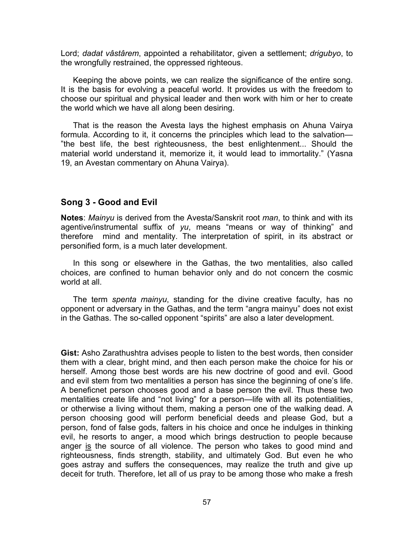Lord; *dadat vâstârem*, appointed a rehabilitator, given a settlement; *drigubyo*, to the wrongfully restrained, the oppressed righteous.

Keeping the above points, we can realize the significance of the entire song. It is the basis for evolving a peaceful world. It provides us with the freedom to choose our spiritual and physical leader and then work with him or her to create the world which we have all along been desiring.

That is the reason the Avesta lays the highest emphasis on Ahuna Vairya formula. According to it, it concerns the principles which lead to the salvation— "the best life, the best righteousness, the best enlightenment... Should the material world understand it, memorize it, it would lead to immortality." (Yasna 19, an Avestan commentary on Ahuna Vairya).

## **Song 3 - Good and Evil**

**Notes**: *Mainyu* is derived from the Avesta/Sanskrit root *man*, to think and with its agentive/instrumental suffix of *yu*, means "means or way of thinking" and therefore mind and mentality. The interpretation of spirit, in its abstract or personified form, is a much later development.

In this song or elsewhere in the Gathas, the two mentalities, also called choices, are confined to human behavior only and do not concern the cosmic world at all.

 The term *spenta mainyu*, standing for the divine creative faculty, has no opponent or adversary in the Gathas, and the term "angra mainyu" does not exist in the Gathas. The so-called opponent "spirits" are also a later development.

**Gist:** Asho Zarathushtra advises people to listen to the best words, then consider them with a clear, bright mind, and then each person make the choice for his or herself. Among those best words are his new doctrine of good and evil. Good and evil stem from two mentalities a person has since the beginning of one's life. A beneficnet person chooses good and a base person the evil. Thus these two mentalities create life and "not living" for a person—life with all its potentialities, or otherwise a living without them, making a person one of the walking dead. A person choosing good will perform beneficial deeds and please God, but a person, fond of false gods, falters in his choice and once he indulges in thinking evil, he resorts to anger, a mood which brings destruction to people because anger is the source of all violence. The person who takes to good mind and righteousness, finds strength, stability, and ultimately God. But even he who goes astray and suffers the consequences, may realize the truth and give up deceit for truth. Therefore, let all of us pray to be among those who make a fresh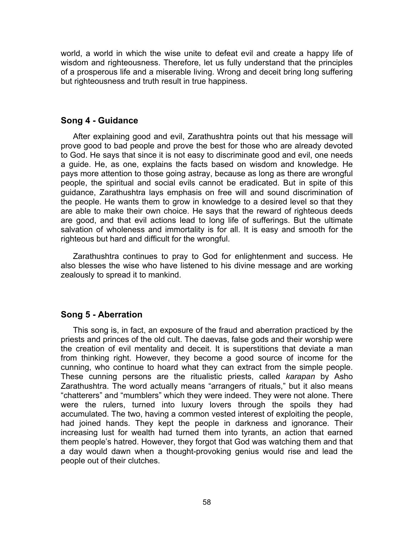world, a world in which the wise unite to defeat evil and create a happy life of wisdom and righteousness. Therefore, let us fully understand that the principles of a prosperous life and a miserable living. Wrong and deceit bring long suffering but righteousness and truth result in true happiness.

### **Song 4 - Guidance**

After explaining good and evil, Zarathushtra points out that his message will prove good to bad people and prove the best for those who are already devoted to God. He says that since it is not easy to discriminate good and evil, one needs a guide. He, as one, explains the facts based on wisdom and knowledge. He pays more attention to those going astray, because as long as there are wrongful people, the spiritual and social evils cannot be eradicated. But in spite of this guidance, Zarathushtra lays emphasis on free will and sound discrimination of the people. He wants them to grow in knowledge to a desired level so that they are able to make their own choice. He says that the reward of righteous deeds are good, and that evil actions lead to long life of sufferings. But the ultimate salvation of wholeness and immortality is for all. It is easy and smooth for the righteous but hard and difficult for the wrongful.

Zarathushtra continues to pray to God for enlightenment and success. He also blesses the wise who have listened to his divine message and are working zealously to spread it to mankind.

## **Song 5 - Aberration**

This song is, in fact, an exposure of the fraud and aberration practiced by the priests and princes of the old cult. The daevas, false gods and their worship were the creation of evil mentality and deceit. It is superstitions that deviate a man from thinking right. However, they become a good source of income for the cunning, who continue to hoard what they can extract from the simple people. These cunning persons are the ritualistic priests, called *karapan* by Asho Zarathushtra. The word actually means "arrangers of rituals," but it also means "chatterers" and "mumblers" which they were indeed. They were not alone. There were the rulers, turned into luxury lovers through the spoils they had accumulated. The two, having a common vested interest of exploiting the people, had joined hands. They kept the people in darkness and ignorance. Their increasing lust for wealth had turned them into tyrants, an action that earned them people's hatred. However, they forgot that God was watching them and that a day would dawn when a thought-provoking genius would rise and lead the people out of their clutches.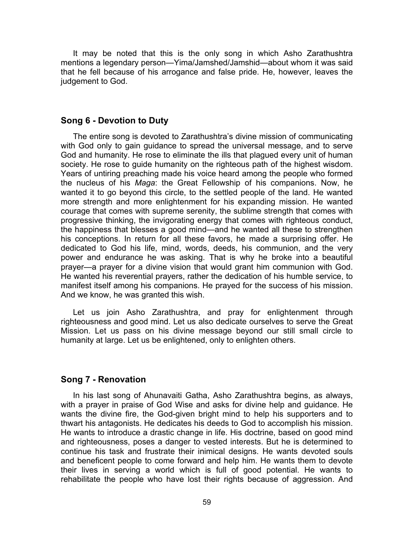It may be noted that this is the only song in which Asho Zarathushtra mentions a legendary person—Yima/Jamshed/Jamshid—about whom it was said that he fell because of his arrogance and false pride. He, however, leaves the judgement to God.

#### **Song 6 - Devotion to Duty**

The entire song is devoted to Zarathushtra's divine mission of communicating with God only to gain guidance to spread the universal message, and to serve God and humanity. He rose to eliminate the ills that plagued every unit of human society. He rose to guide humanity on the righteous path of the highest wisdom. Years of untiring preaching made his voice heard among the people who formed the nucleus of his *Maga*: the Great Fellowship of his companions. Now, he wanted it to go beyond this circle, to the settled people of the land. He wanted more strength and more enlightenment for his expanding mission. He wanted courage that comes with supreme serenity, the sublime strength that comes with progressive thinking, the invigorating energy that comes with righteous conduct, the happiness that blesses a good mind—and he wanted all these to strengthen his conceptions. In return for all these favors, he made a surprising offer. He dedicated to God his life, mind, words, deeds, his communion, and the very power and endurance he was asking. That is why he broke into a beautiful prayer—a prayer for a divine vision that would grant him communion with God. He wanted his reverential prayers, rather the dedication of his humble service, to manifest itself among his companions. He prayed for the success of his mission. And we know, he was granted this wish.

Let us join Asho Zarathushtra, and pray for enlightenment through righteousness and good mind. Let us also dedicate ourselves to serve the Great Mission. Let us pass on his divine message beyond our still small circle to humanity at large. Let us be enlightened, only to enlighten others.

#### **Song 7 - Renovation**

In his last song of Ahunavaiti Gatha, Asho Zarathushtra begins, as always, with a prayer in praise of God Wise and asks for divine help and guidance. He wants the divine fire, the God-given bright mind to help his supporters and to thwart his antagonists. He dedicates his deeds to God to accomplish his mission. He wants to introduce a drastic change in life. His doctrine, based on good mind and righteousness, poses a danger to vested interests. But he is determined to continue his task and frustrate their inimical designs. He wants devoted souls and beneficent people to come forward and help him. He wants them to devote their lives in serving a world which is full of good potential. He wants to rehabilitate the people who have lost their rights because of aggression. And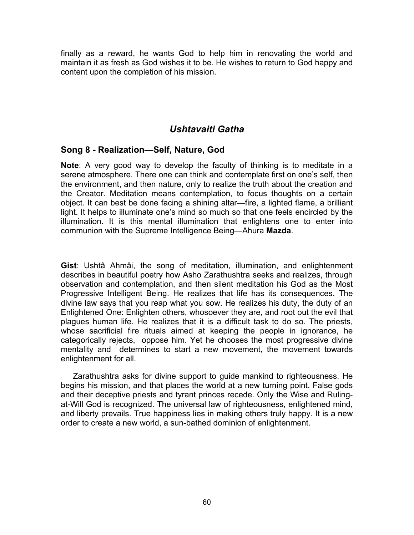finally as a reward, he wants God to help him in renovating the world and maintain it as fresh as God wishes it to be. He wishes to return to God happy and content upon the completion of his mission.

# *Ushtavaiti Gatha*

# **Song 8 - Realization—Self, Nature, God**

**Note**: A very good way to develop the faculty of thinking is to meditate in a serene atmosphere. There one can think and contemplate first on one's self, then the environment, and then nature, only to realize the truth about the creation and the Creator. Meditation means contemplation, to focus thoughts on a certain object. It can best be done facing a shining altar—fire, a lighted flame, a brilliant light. It helps to illuminate one's mind so much so that one feels encircled by the illumination. It is this mental illumination that enlightens one to enter into communion with the Supreme Intelligence Being—Ahura **Mazda**.

**Gist**: Ushtâ Ahmâi, the song of meditation, illumination, and enlightenment describes in beautiful poetry how Asho Zarathushtra seeks and realizes, through observation and contemplation, and then silent meditation his God as the Most Progressive Intelligent Being. He realizes that life has its consequences. The divine law says that you reap what you sow. He realizes his duty, the duty of an Enlightened One: Enlighten others, whosoever they are, and root out the evil that plagues human life. He realizes that it is a difficult task to do so. The priests, whose sacrificial fire rituals aimed at keeping the people in ignorance, he categorically rejects, oppose him. Yet he chooses the most progressive divine mentality and determines to start a new movement, the movement towards enlightenment for all.

Zarathushtra asks for divine support to guide mankind to righteousness. He begins his mission, and that places the world at a new turning point. False gods and their deceptive priests and tyrant princes recede. Only the Wise and Rulingat-Will God is recognized. The universal law of righteousness, enlightened mind, and liberty prevails. True happiness lies in making others truly happy. It is a new order to create a new world, a sun-bathed dominion of enlightenment.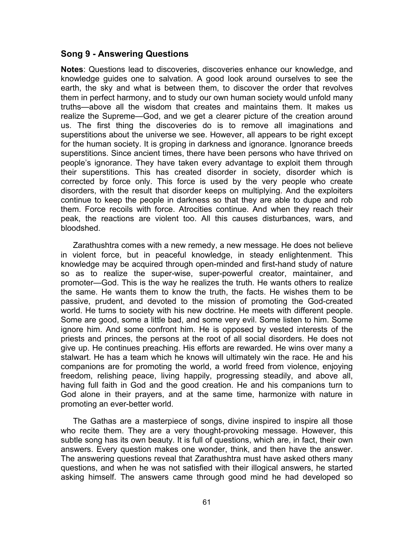#### **Song 9 - Answering Questions**

**Notes**: Questions lead to discoveries, discoveries enhance our knowledge, and knowledge guides one to salvation. A good look around ourselves to see the earth, the sky and what is between them, to discover the order that revolves them in perfect harmony, and to study our own human society would unfold many truths—above all the wisdom that creates and maintains them. It makes us realize the Supreme—God, and we get a clearer picture of the creation around us. The first thing the discoveries do is to remove all imaginations and superstitions about the universe we see. However, all appears to be right except for the human society. It is groping in darkness and ignorance. Ignorance breeds superstitions. Since ancient times, there have been persons who have thrived on people's ignorance. They have taken every advantage to exploit them through their superstitions. This has created disorder in society, disorder which is corrected by force only. This force is used by the very people who create disorders, with the result that disorder keeps on multiplying. And the exploiters continue to keep the people in darkness so that they are able to dupe and rob them. Force recoils with force. Atrocities continue. And when they reach their peak, the reactions are violent too. All this causes disturbances, wars, and bloodshed.

Zarathushtra comes with a new remedy, a new message. He does not believe in violent force, but in peaceful knowledge, in steady enlightenment. This knowledge may be acquired through open-minded and first-hand study of nature so as to realize the super-wise, super-powerful creator, maintainer, and promoter—God. This is the way he realizes the truth. He wants others to realize the same. He wants them to know the truth, the facts. He wishes them to be passive, prudent, and devoted to the mission of promoting the God-created world. He turns to society with his new doctrine. He meets with different people. Some are good, some a little bad, and some very evil. Some listen to him. Some ignore him. And some confront him. He is opposed by vested interests of the priests and princes, the persons at the root of all social disorders. He does not give up. He continues preaching. His efforts are rewarded. He wins over many a stalwart. He has a team which he knows will ultimately win the race. He and his companions are for promoting the world, a world freed from violence, enjoying freedom, relishing peace, living happily, progressing steadily, and above all, having full faith in God and the good creation. He and his companions turn to God alone in their prayers, and at the same time, harmonize with nature in promoting an ever-better world.

The Gathas are a masterpiece of songs, divine inspired to inspire all those who recite them. They are a very thought-provoking message. However, this subtle song has its own beauty. It is full of questions, which are, in fact, their own answers. Every question makes one wonder, think, and then have the answer. The answering questions reveal that Zarathushtra must have asked others many questions, and when he was not satisfied with their illogical answers, he started asking himself. The answers came through good mind he had developed so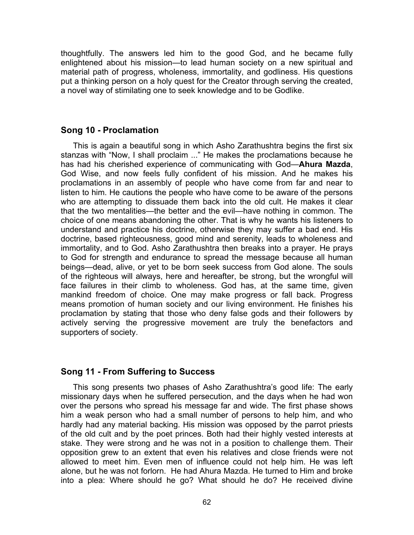thoughtfully. The answers led him to the good God, and he became fully enlightened about his mission—to lead human society on a new spiritual and material path of progress, wholeness, immortality, and godliness. His questions put a thinking person on a holy quest for the Creator through serving the created, a novel way of stimilating one to seek knowledge and to be Godlike.

### **Song 10 - Proclamation**

This is again a beautiful song in which Asho Zarathushtra begins the first six stanzas with "Now, I shall proclaim ..." He makes the proclamations because he has had his cherished experience of communicating with God—**Ahura Mazda**, God Wise, and now feels fully confident of his mission. And he makes his proclamations in an assembly of people who have come from far and near to listen to him. He cautions the people who have come to be aware of the persons who are attempting to dissuade them back into the old cult. He makes it clear that the two mentalities—the better and the evil—have nothing in common. The choice of one means abandoning the other. That is why he wants his listeners to understand and practice his doctrine, otherwise they may suffer a bad end. His doctrine, based righteousness, good mind and serenity, leads to wholeness and immortality, and to God. Asho Zarathushtra then breaks into a prayer. He prays to God for strength and endurance to spread the message because all human beings—dead, alive, or yet to be born seek success from God alone. The souls of the righteous will always, here and hereafter, be strong, but the wrongful will face failures in their climb to wholeness. God has, at the same time, given mankind freedom of choice. One may make progress or fall back. Progress means promotion of human society and our living environment. He finishes his proclamation by stating that those who deny false gods and their followers by actively serving the progressive movement are truly the benefactors and supporters of society.

## **Song 11 - From Suffering to Success**

This song presents two phases of Asho Zarathushtra's good life: The early missionary days when he suffered persecution, and the days when he had won over the persons who spread his message far and wide. The first phase shows him a weak person who had a small number of persons to help him, and who hardly had any material backing. His mission was opposed by the parrot priests of the old cult and by the poet princes. Both had their highly vested interests at stake. They were strong and he was not in a position to challenge them. Their opposition grew to an extent that even his relatives and close friends were not allowed to meet him. Even men of influence could not help him. He was left alone, but he was not forlorn. He had Ahura Mazda. He turned to Him and broke into a plea: Where should he go? What should he do? He received divine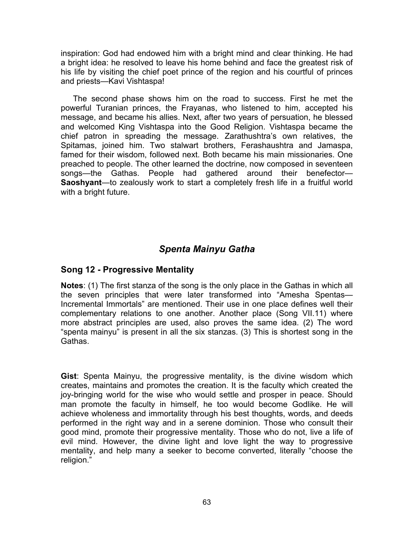inspiration: God had endowed him with a bright mind and clear thinking. He had a bright idea: he resolved to leave his home behind and face the greatest risk of his life by visiting the chief poet prince of the region and his courtful of princes and priests—Kavi Vishtaspa!

The second phase shows him on the road to success. First he met the powerful Turanian princes, the Frayanas, who listened to him, accepted his message, and became his allies. Next, after two years of persuation, he blessed and welcomed King Vishtaspa into the Good Religion. Vishtaspa became the chief patron in spreading the message. Zarathushtra's own relatives, the Spitamas, joined him. Two stalwart brothers, Ferashaushtra and Jamaspa, famed for their wisdom, followed next. Both became his main missionaries. One preached to people. The other learned the doctrine, now composed in seventeen songs—the Gathas. People had gathered around their benefector— **Saoshyant**—to zealously work to start a completely fresh life in a fruitful world with a bright future.

# *Spenta Mainyu Gatha*

# **Song 12 - Progressive Mentality**

**Notes**: (1) The first stanza of the song is the only place in the Gathas in which all the seven principles that were later transformed into "Amesha Spentas— Incremental Immortals" are mentioned. Their use in one place defines well their complementary relations to one another. Another place (Song VII.11) where more abstract principles are used, also proves the same idea. (2) The word "spenta mainyu" is present in all the six stanzas. (3) This is shortest song in the Gathas.

**Gist**: Spenta Mainyu, the progressive mentality, is the divine wisdom which creates, maintains and promotes the creation. It is the faculty which created the joy-bringing world for the wise who would settle and prosper in peace. Should man promote the faculty in himself, he too would become Godlike. He will achieve wholeness and immortality through his best thoughts, words, and deeds performed in the right way and in a serene dominion. Those who consult their good mind, promote their progressive mentality. Those who do not, live a life of evil mind. However, the divine light and love light the way to progressive mentality, and help many a seeker to become converted, literally "choose the religion."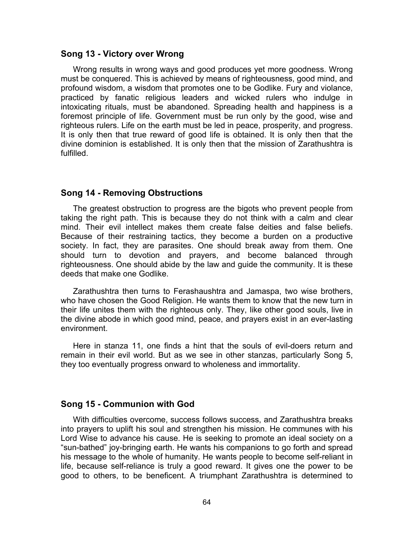#### **Song 13 - Victory over Wrong**

Wrong results in wrong ways and good produces yet more goodness. Wrong must be conquered. This is achieved by means of righteousness, good mind, and profound wisdom, a wisdom that promotes one to be Godlike. Fury and violance, practiced by fanatic religious leaders and wicked rulers who indulge in intoxicating rituals, must be abandoned. Spreading health and happiness is a foremost principle of life. Government must be run only by the good, wise and righteous rulers. Life on the earth must be led in peace, prosperity, and progress. It is only then that true reward of good life is obtained. It is only then that the divine dominion is established. It is only then that the mission of Zarathushtra is fulfilled.

#### **Song 14 - Removing Obstructions**

The greatest obstruction to progress are the bigots who prevent people from taking the right path. This is because they do not think with a calm and clear mind. Their evil intellect makes them create false deities and false beliefs. Because of their restraining tactics, they become a burden on a productive society. In fact, they are parasites. One should break away from them. One should turn to devotion and prayers, and become balanced through righteousness. One should abide by the law and guide the community. It is these deeds that make one Godlike.

Zarathushtra then turns to Ferashaushtra and Jamaspa, two wise brothers, who have chosen the Good Religion. He wants them to know that the new turn in their life unites them with the righteous only. They, like other good souls, live in the divine abode in which good mind, peace, and prayers exist in an ever-lasting environment.

Here in stanza 11, one finds a hint that the souls of evil-doers return and remain in their evil world. But as we see in other stanzas, particularly Song 5, they too eventually progress onward to wholeness and immortality.

#### **Song 15 - Communion with God**

With difficulties overcome, success follows success, and Zarathushtra breaks into prayers to uplift his soul and strengthen his mission. He communes with his Lord Wise to advance his cause. He is seeking to promote an ideal society on a "sun-bathed" joy-bringing earth. He wants his companions to go forth and spread his message to the whole of humanity. He wants people to become self-reliant in life, because self-reliance is truly a good reward. It gives one the power to be good to others, to be beneficent. A triumphant Zarathushtra is determined to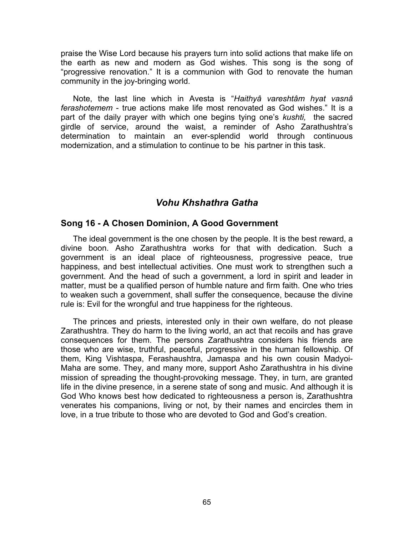praise the Wise Lord because his prayers turn into solid actions that make life on the earth as new and modern as God wishes. This song is the song of "progressive renovation." It is a communion with God to renovate the human community in the joy-bringing world.

Note, the last line which in Avesta is "*Haithyâ vareshtâm hyat vasnâ ferashotemem* - true actions make life most renovated as God wishes." It is a part of the daily prayer with which one begins tying one's *kushti,* the sacred girdle of service, around the waist, a reminder of Asho Zarathushtra's determination to maintain an ever-splendid world through continuous modernization, and a stimulation to continue to be his partner in this task.

## *Vohu Khshathra Gatha*

#### **Song 16 - A Chosen Dominion, A Good Government**

The ideal government is the one chosen by the people. It is the best reward, a divine boon. Asho Zarathushtra works for that with dedication. Such a government is an ideal place of righteousness, progressive peace, true happiness, and best intellectual activities. One must work to strengthen such a government. And the head of such a government, a lord in spirit and leader in matter, must be a qualified person of humble nature and firm faith. One who tries to weaken such a government, shall suffer the consequence, because the divine rule is: Evil for the wrongful and true happiness for the righteous.

The princes and priests, interested only in their own welfare, do not please Zarathushtra. They do harm to the living world, an act that recoils and has grave consequences for them. The persons Zarathushtra considers his friends are those who are wise, truthful, peaceful, progressive in the human fellowship. Of them, King Vishtaspa, Ferashaushtra, Jamaspa and his own cousin Madyoi-Maha are some. They, and many more, support Asho Zarathushtra in his divine mission of spreading the thought-provoking message. They, in turn, are granted life in the divine presence, in a serene state of song and music. And although it is God Who knows best how dedicated to righteousness a person is, Zarathushtra venerates his companions, living or not, by their names and encircles them in love, in a true tribute to those who are devoted to God and God's creation.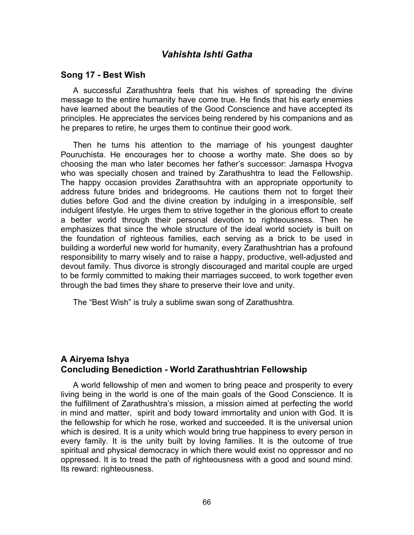# *Vahishta Ishti Gatha*

#### **Song 17 - Best Wish**

A successful Zarathushtra feels that his wishes of spreading the divine message to the entire humanity have come true. He finds that his early enemies have learned about the beauties of the Good Conscience and have accepted its principles. He appreciates the services being rendered by his companions and as he prepares to retire, he urges them to continue their good work.

Then he turns his attention to the marriage of his youngest daughter Pouruchista. He encourages her to choose a worthy mate. She does so by choosing the man who later becomes her father's successor: Jamaspa Hvogva who was specially chosen and trained by Zarathushtra to lead the Fellowship. The happy occasion provides Zarathsuhtra with an appropriate opportunity to address future brides and bridegrooms. He cautions them not to forget their duties before God and the divine creation by indulging in a irresponsible, self indulgent lifestyle. He urges them to strive together in the glorious effort to create a better world through their personal devotion to righteousness. Then he emphasizes that since the whole structure of the ideal world society is built on the foundation of righteous families, each serving as a brick to be used in building a worderful new world for humanity, every Zarathushtrian has a profound responsibility to marry wisely and to raise a happy, productive, well-adjusted and devout family. Thus divorce is strongly discouraged and marital couple are urged to be formly committed to making their marriages succeed, to work together even through the bad times they share to preserve their love and unity.

The "Best Wish" is truly a sublime swan song of Zarathushtra.

## **A Airyema Ishya Concluding Benediction - World Zarathushtrian Fellowship**

A world fellowship of men and women to bring peace and prosperity to every living being in the world is one of the main goals of the Good Conscience. It is the fulfillment of Zarathushtra's mission, a mission aimed at perfecting the world in mind and matter, spirit and body toward immortality and union with God. It is the fellowship for which he rose, worked and succeeded. It is the universal union which is desired. It is a unity which would bring true happiness to every person in every family. It is the unity built by loving families. It is the outcome of true spiritual and physical democracy in which there would exist no oppressor and no oppressed. It is to tread the path of righteousness with a good and sound mind. Its reward: righteousness.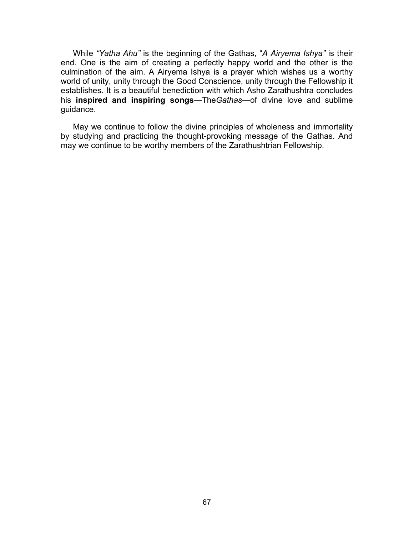While *"Yatha Ahu"* is the beginning of the Gathas, "*A Airyema Ishya"* is their end. One is the aim of creating a perfectly happy world and the other is the culmination of the aim. A Airyema Ishya is a prayer which wishes us a worthy world of unity, unity through the Good Conscience, unity through the Fellowship it establishes. It is a beautiful benediction with which Asho Zarathushtra concludes his **inspired and inspiring songs**—The*Gathas*—of divine love and sublime guidance.

May we continue to follow the divine principles of wholeness and immortality by studying and practicing the thought-provoking message of the Gathas. And may we continue to be worthy members of the Zarathushtrian Fellowship.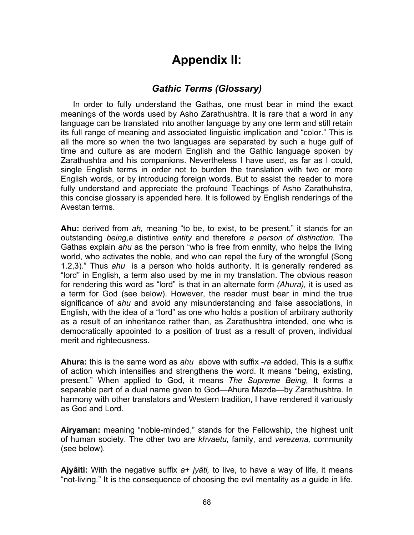# **Appendix II:**

### *Gathic Terms (Glossary)*

In order to fully understand the Gathas, one must bear in mind the exact meanings of the words used by Asho Zarathushtra. It is rare that a word in any language can be translated into another language by any one term and still retain its full range of meaning and associated linguistic implication and "color." This is all the more so when the two languages are separated by such a huge gulf of time and culture as are modern English and the Gathic language spoken by Zarathushtra and his companions. Nevertheless I have used, as far as I could, single English terms in order not to burden the translation with two or more English words, or by introducing foreign words. But to assist the reader to more fully understand and appreciate the profound Teachings of Asho Zarathuhstra, this concise glossary is appended here. It is followed by English renderings of the Avestan terms.

**Ahu:** derived from *ah,* meaning "to be, to exist, to be present," it stands for an outstanding *being,*a distintive *entity* and therefore *a person of distinction.* The Gathas explain *ahu* as the person "who is free from enmity, who helps the living world, who activates the noble, and who can repel the fury of the wrongful (Song 1.2,3)." Thus *ahu* is a person who holds authority. It is generally rendered as "lord" in English, a term also used by me in my translation. The obvious reason for rendering this word as "lord" is that in an alternate form *(Ahura),* it is used as a term for God (see below). However, the reader must bear in mind the true significance of *ahu* and avoid any misunderstanding and false associations, in English, with the idea of a "lord" as one who holds a position of arbitrary authority as a result of an inheritance rather than, as Zarathushtra intended, one who is democratically appointed to a position of trust as a result of proven, individual merit and righteousness.

**Ahura:** this is the same word as *ahu* above with suffix -*ra* added. This is a suffix of action which intensifies and strengthens the word. It means "being, existing, present." When applied to God, it means *The Supreme Being,* It forms a separable part of a dual name given to God—Ahura Mazda—by Zarathushtra. In harmony with other translators and Western tradition, I have rendered it variously as God and Lord.

**Airyaman:** meaning "noble-minded," stands for the Fellowship, the highest unit of human society. The other two are *khvaetu,* family, and *verezena,* community (see below).

**Ajyâiti:** With the negative suffix *a*+ *jyâti,* to live, to have a way of life, it means "not-living." It is the consequence of choosing the evil mentality as a guide in life.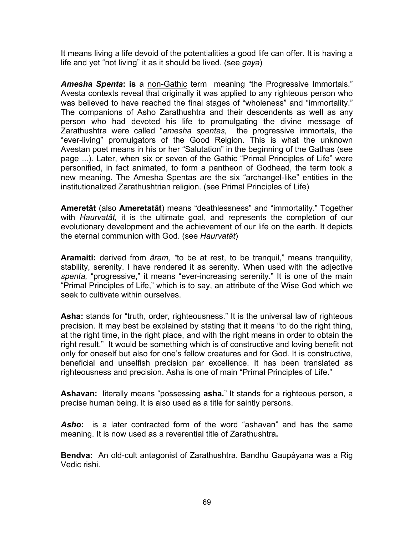It means living a life devoid of the potentialities a good life can offer. It is having a life and yet "not living" it as it should be lived. (see *gaya*)

**Amesha Spenta: is** a non-Gathic term meaning "the Progressive Immortals." Avesta contexts reveal that originally it was applied to any righteous person who was believed to have reached the final stages of "wholeness" and "immortality." The companions of Asho Zarathushtra and their descendents as well as any person who had devoted his life to promulgating the divine message of Zarathushtra were called "*amesha spentas,* the progressive immortals, the "ever-living" promulgators of the Good Relgion. This is what the unknown Avestan poet means in his or her "Salutation" in the beginning of the Gathas (see page ...). Later, when six or seven of the Gathic "Primal Principles of Life" were personified, in fact animated, to form a pantheon of Godhead, the term took a new meaning. The Amesha Spentas are the six "archangel-like" entities in the institutionalized Zarathushtrian religion. (see Primal Principles of Life)

**Ameretât** (also **Ameretatât**) means "deathlessness" and "immortality." Together with *Haurvatât,* it is the ultimate goal, and represents the completion of our evolutionary development and the achievement of our life on the earth. It depicts the eternal communion with God. (see *Haurvatât*)

**Aramaiti:** derived from *âram, "*to be at rest, to be tranquil," means tranquility, stability, serenity. I have rendered it as serenity. When used with the adjective *spenta,* "progressive," it means "ever-increasing serenity." It is one of the main "Primal Principles of Life," which is to say, an attribute of the Wise God which we seek to cultivate within ourselves.

Asha: stands for "truth, order, righteousness." It is the universal law of righteous precision. It may best be explained by stating that it means "to do the right thing, at the right time, in the right place, and with the right means in order to obtain the right result." It would be something which is of constructive and loving benefit not only for oneself but also for one's fellow creatures and for God. It is constructive, beneficial and unselfish precision par excellence. It has been translated as righteousness and precision. Asha is one of main "Primal Principles of Life."

**Ashavan:** literally means "possessing **asha.**" It stands for a righteous person, a precise human being. It is also used as a title for saintly persons.

*Asho***:** is a later contracted form of the word "ashavan" and has the same meaning. It is now used as a reverential title of Zarathushtra**.**

**Bendva:** An old-cult antagonist of Zarathushtra. Bandhu Gaupâyana was a Rig Vedic rishi.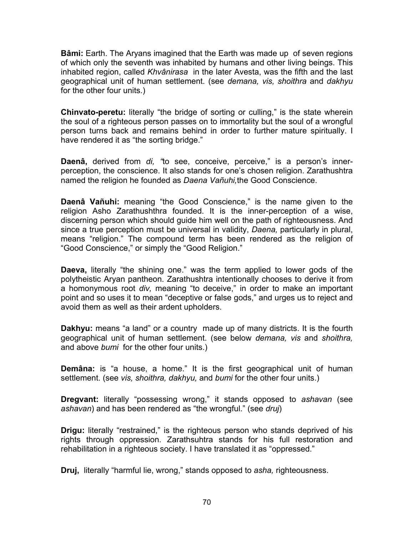**Bâmi:** Earth. The Aryans imagined that the Earth was made up of seven regions of which only the seventh was inhabited by humans and other living beings. This inhabited region, called *Khvânirasa* in the later Avesta, was the fifth and the last geographical unit of human settlement. (see *demana, vis, shoithra* and *dakhyu* for the other four units.)

**Chinvato-peretu:** literally "the bridge of sorting or culling," is the state wherein the soul of a righteous person passes on to immortality but the soul of a wrongful person turns back and remains behind in order to further mature spiritually. I have rendered it as "the sorting bridge."

**Daenâ,** derived from *di, "*to see, conceive, perceive," is a person's innerperception, the conscience. It also stands for one's chosen religion. Zarathushtra named the religion he founded as *Daena Vañuhi,*the Good Conscience.

**Daenâ Vañuhi:** meaning "the Good Conscience," is the name given to the religion Asho Zarathushthra founded. It is the inner-perception of a wise, discerning person which should guide him well on the path of righteousness. And since a true perception must be universal in validity, *Daena,* particularly in plural, means "religion." The compound term has been rendered as the religion of "Good Conscience," or simply the "Good Religion."

**Daeva,** literally "the shining one." was the term applied to lower gods of the polytheistic Aryan pantheon. Zarathushtra intentionally chooses to derive it from a homonymous root *div,* meaning "to deceive," in order to make an important point and so uses it to mean "deceptive or false gods," and urges us to reject and avoid them as well as their ardent upholders.

**Dakhyu:** means "a land" or a country made up of many districts. It is the fourth geographical unit of human settlement. (see below *demana, vis* and *shoithra,* and above *bumi* for the other four units.)

**Demâna:** is "a house, a home." It is the first geographical unit of human settlement. (see *vis, shoithra, dakhyu,* and *bumi* for the other four units.)

**Dregvant:** literally "possessing wrong," it stands opposed to *ashavan* (see *ashavan*) and has been rendered as "the wrongful." (see *druj*)

**Drigu:** literally "restrained," is the righteous person who stands deprived of his rights through oppression. Zarathsuhtra stands for his full restoration and rehabilitation in a righteous society. I have translated it as "oppressed."

**Druj,** literally "harmful lie, wrong," stands opposed to *asha,* righteousness.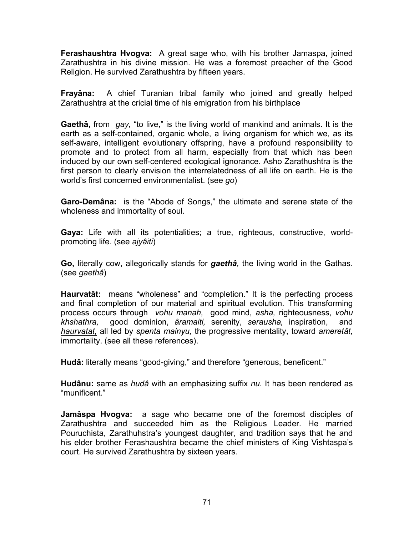**Ferashaushtra Hvogva:** A great sage who, with his brother Jamaspa, joined Zarathushtra in his divine mission. He was a foremost preacher of the Good Religion. He survived Zarathushtra by fifteen years.

**Frayâna:** A chief Turanian tribal family who joined and greatly helped Zarathushtra at the cricial time of his emigration from his birthplace

**Gaethâ,** from *gay,* "to live," is the living world of mankind and animals. It is the earth as a self-contained, organic whole, a living organism for which we, as its self-aware, intelligent evolutionary offspring, have a profound responsibility to promote and to protect from all harm, especially from that which has been induced by our own self-centered ecological ignorance. Asho Zarathushtra is the first person to clearly envision the interrelatedness of all life on earth. He is the world's first concerned environmentalist. (see *go*)

**Garo-Demâna:** is the "Abode of Songs," the ultimate and serene state of the wholeness and immortality of soul.

**Gaya:** Life with all its potentialities; a true, righteous, constructive, worldpromoting life. (see *ajyâiti*)

**Go,** literally cow, allegorically stands for *gaethâ,* the living world in the Gathas. (see *gaethâ*)

**Haurvatât:** means "wholeness" and "completion." It is the perfecting process and final completion of our material and spiritual evolution. This transforming process occurs through *vohu manah,* good mind, *asha,* righteousness, *vohu khshathra,* good dominion, *âramaiti,* serenity, *serausha,* inspiration, and *haurvatat,* all led by *spenta mainyu,* the progressive mentality, toward *ameretât,*  immortality. (see all these references).

**Hudâ:** literally means "good-giving," and therefore "generous, beneficent."

**Hudânu:** same as *hudâ* with an emphasizing suffix *nu.* It has been rendered as "munificent."

**Jamâspa Hvogva:** a sage who became one of the foremost disciples of Zarathushtra and succeeded him as the Religious Leader. He married Pouruchista, Zarathuhstra's youngest daughter, and tradition says that he and his elder brother Ferashaushtra became the chief ministers of King Vishtaspa's court. He survived Zarathushtra by sixteen years.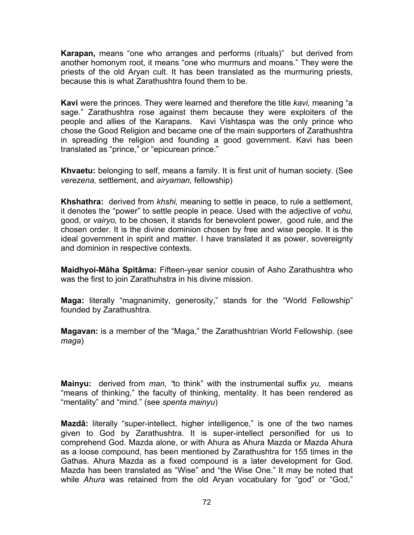**Karapan,** means "one who arranges and performs (rituals)" but derived from another homonym root, it means "one who murmurs and moans." They were the priests of the old Aryan cult. It has been translated as the murmuring priests, because this is what Zarathushtra found them to be.

**Kavi** were the princes. They were learned and therefore the title *kavi,* meaning "a sage." Zarathushtra rose against them because they were exploiters of the people and allies of the Karapans. Kavi Vishtaspa was the only prince who chose the Good Religion and became one of the main supporters of Zarathushtra in spreading the religion and founding a good government. Kavi has been translated as "prince," or "epicurean prince."

**Khvaetu:** belonging to self, means a family. It is first unit of human society. (See *verezena,* settlement, and *airyaman,* fellowship)

**Khshathra:** derived from *khshi,* meaning to settle in peace, to rule a settlement, it denotes the "power" to settle people in peace. Used with the adjective of *vohu,*  good, or *vairyo,* to be chosen, it stands for benevolent power, good rule, and the chosen order. It is the divine dominion chosen by free and wise people. It is the ideal government in spirit and matter. I have translated it as power, sovereignty and dominion in respective contexts.

**Maidhyoi-Mâha Spitâma:** Fifteen-year senior cousin of Asho Zarathushtra who was the first to join Zarathuhstra in his divine mission.

**Maga:** literally "magnanimity, generosity," stands for the "World Fellowship" founded by Zarathushtra.

**Magavan:** is a member of the "Maga," the Zarathushtrian World Fellowship. (see *maga*)

**Mainyu:** derived from *man, "*to think" with the instrumental suffix *yu,* means "means of thinking," the faculty of thinking, mentality. It has been rendered as "mentality" and "mind." (see *spenta mainyu*)

**Mazdâ:** literally "super-intellect, higher intelligence," is one of the two names given to God by Zarathushtra. It is super-intellect personified for us to comprehend God. Mazda alone, or with Ahura as Ahura Mazda or Mazda Ahura as a loose compound, has been mentioned by Zarathushtra for 155 times in the Gathas. Ahura Mazda as a fixed compound is a later development for God. Mazda has been translated as "Wise" and "the Wise One." It may be noted that while *Ahura* was retained from the old Aryan vocabulary for "god" or "God,"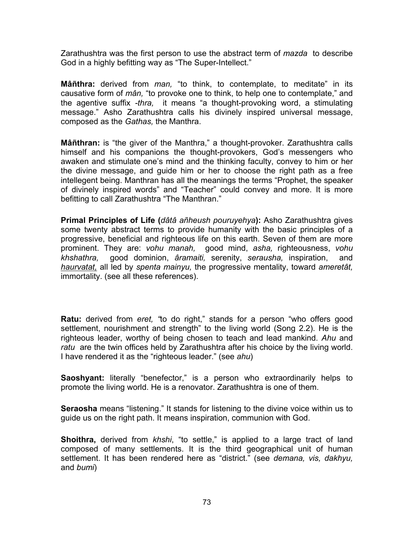Zarathushtra was the first person to use the abstract term of *mazda* to describe God in a highly befitting way as "The Super-Intellect."

**Mâñthra:** derived from *man,* "to think, to contemplate, to meditate" in its causative form of *mân,* "to provoke one to think, to help one to contemplate," and the agentive suffix *-thra,* it means "a thought-provoking word, a stimulating message." Asho Zarathushtra calls his divinely inspired universal message, composed as the *Gathas,* the Manthra.

**Mâñthran:** is "the giver of the Manthra," a thought-provoker. Zarathushtra calls himself and his companions the thought-provokers, God's messengers who awaken and stimulate one's mind and the thinking faculty, convey to him or her the divine message, and guide him or her to choose the right path as a free intellegent being. Manthran has all the meanings the terms "Prophet, the speaker of divinely inspired words" and "Teacher" could convey and more. It is more befitting to call Zarathushtra "The Manthran."

**Primal Principles of Life (***dâtâ añheush pouruyehya***):** Asho Zarathushtra gives some twenty abstract terms to provide humanity with the basic principles of a progressive, beneficial and righteous life on this earth. Seven of them are more prominent. They are: *vohu manah,* good mind, *asha,* righteousness, *vohu khshathra,* good dominion, *âramaiti,* serenity, *serausha,* inspiration, and *haurvatat,* all led by *spenta mainyu,* the progressive mentality, toward *ameretât,*  immortality. (see all these references).

**Ratu:** derived from *eret, "*to do right," stands for a person "who offers good settlement, nourishment and strength" to the living world (Song 2.2). He is the righteous leader, worthy of being chosen to teach and lead mankind. *Ahu* and *ratu* are the twin offices held by Zarathushtra after his choice by the living world. I have rendered it as the "righteous leader." (see *ahu*)

**Saoshyant:** literally "benefector," is a person who extraordinarily helps to promote the living world. He is a renovator. Zarathushtra is one of them.

**Seraosha** means "listening." It stands for listening to the divine voice within us to guide us on the right path. It means inspiration, communion with God.

**Shoithra,** derived from *khshi*, "to settle," is applied to a large tract of land composed of many settlements. It is the third geographical unit of human settlement. It has been rendered here as "district." (see *demana, vis, dakhyu,*  and *bumi*)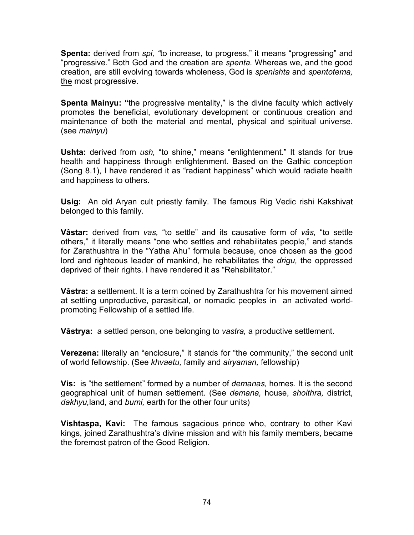**Spenta:** derived from *spi, "*to increase, to progress," it means "progressing" and "progressive." Both God and the creation are *spenta.* Whereas we, and the good creation, are still evolving towards wholeness, God is *spenishta* and *spentotema,* the most progressive.

**Spenta Mainyu:** "the progressive mentality," is the divine faculty which actively promotes the beneficial, evolutionary development or continuous creation and maintenance of both the material and mental, physical and spiritual universe. (see *mainyu*)

**Ushta:** derived from *ush,* "to shine," means "enlightenment." It stands for true health and happiness through enlightenment. Based on the Gathic conception (Song 8.1), I have rendered it as "radiant happiness" which would radiate health and happiness to others.

**Usig:** An old Aryan cult priestly family. The famous Rig Vedic rishi Kakshivat belonged to this family.

**Vâstar:** derived from *vas,* "to settle" and its causative form of *vâs,* "to settle others," it literally means "one who settles and rehabilitates people," and stands for Zarathushtra in the "Yatha Ahu" formula because, once chosen as the good lord and righteous leader of mankind, he rehabilitates the *drigu,* the oppressed deprived of their rights. I have rendered it as "Rehabilitator."

**Vâstra:** a settlement. It is a term coined by Zarathushtra for his movement aimed at settling unproductive, parasitical, or nomadic peoples in an activated worldpromoting Fellowship of a settled life.

**Vâstrya:** a settled person, one belonging to *vastra,* a productive settlement.

**Verezena:** literally an "enclosure," it stands for "the community," the second unit of world fellowship. (See *khvaetu,* family and *airyaman,* fellowship)

**Vis:** is "the settlement" formed by a number of *demanas,* homes. It is the second geographical unit of human settlement. (See *demana,* house, *shoithra,* district, *dakhyu,*land, and *bumi,* earth for the other four units)

**Vishtaspa, Kavi:** The famous sagacious prince who, contrary to other Kavi kings, joined Zarathushtra's divine mission and with his family members, became the foremost patron of the Good Religion.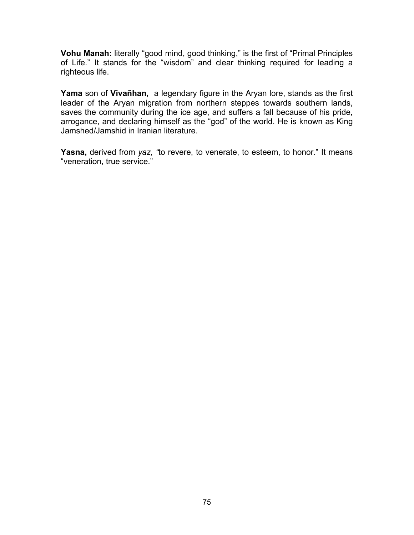**Vohu Manah:** literally "good mind, good thinking," is the first of "Primal Principles of Life." It stands for the "wisdom" and clear thinking required for leading a righteous life.

**Yama** son of **Vivañhan,** a legendary figure in the Aryan lore, stands as the first leader of the Aryan migration from northern steppes towards southern lands, saves the community during the ice age, and suffers a fall because of his pride, arrogance, and declaring himself as the "god" of the world. He is known as King Jamshed/Jamshid in Iranian literature.

**Yasna,** derived from *yaz, "*to revere, to venerate, to esteem, to honor." It means "veneration, true service."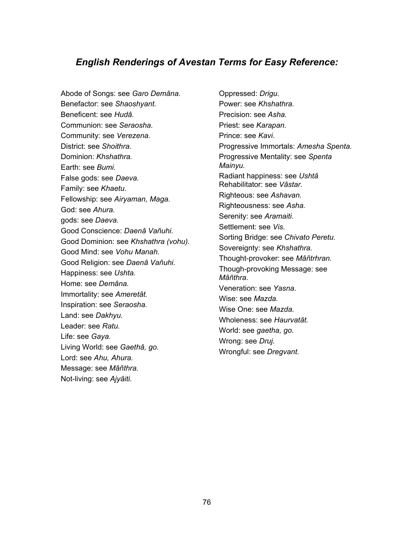#### *English Renderings of Avestan Terms for Easy Reference:*

Abode of Songs: see *Garo Demâna.*  Benefactor: see *Shaoshyant.* Beneficent: see *Hudâ.*  Communion: see *Seraosha.* Community: see *Verezena.*  District: see *Shoithra.* Dominion: *Khshathra.*  Earth: see *Bumi.* False gods: see *Daeva.*  Family: see *Khaetu.* Fellowship: see *Airyaman, Maga.*  God: see *Ahura.* gods: see *Daeva.*  Good Conscience: *Daenâ Vañuhi.* Good Dominion: see *Khshathra (vohu).*  Good Mind: see *Vohu Manah.* Good Religion: see *Daenâ Vañuhi.*  Happiness: see *Ushta.* Home: see *Demâna.*  Immortality: see *Ameretât.* Inspiration: see *Seraosha.*  Land: see *Dakhyu.* Leader: see *Ratu.*  Life: see *Gaya.* Living World: see *Gaethâ, go.*  Lord: see *Ahu, Ahura.* Message: see *Mâñthra.*  Not-living: see *Ajyâiti.*

Oppressed: *Drigu.*  Power: see *Khshathra.* Precision: see *Asha.*  Priest: see *Karapan.* Prince: see *Kavi.*  Progressive Immortals: *Amesha Spenta.* Progressive Mentality: see *Spenta Mainyu.*  Radiant happiness: see *Ushtâ*  Rehabilitator: see *Vâstar.*  Righteous: see *Ashavan.* Righteousness: see *Asha.*  Serenity: see *Aramaiti.* Settlement: see *Vis.*  Sorting Bridge: see *Chivato Peretu.* Sovereignty: see *Khshathra.*  Thought-provoker: see *Mâñtrhran.* Though-provoking Message: see *Mâñthra.*  Veneration: see *Yasna.* Wise: see *Mazda.*  Wise One: see *Mazda.* Wholeness: see *Haurvatât.*  World: see *gaetha, go.* Wrong: see *Druj.*  Wrongful: see *Dregvant.*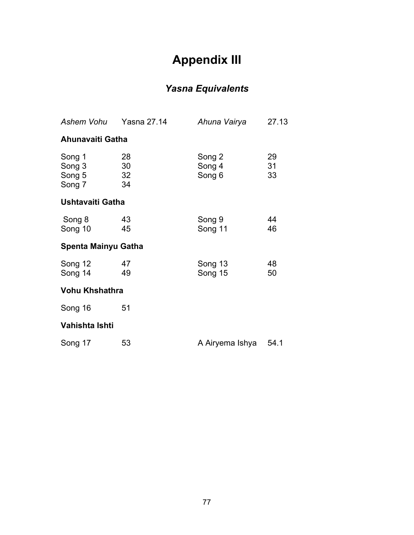# **Appendix III**

### *Yasna Equivalents*

| Ashem Vohu                           | <b>Yasna 27.14</b>   | Ahuna Vairya               | 27.13          |
|--------------------------------------|----------------------|----------------------------|----------------|
| Ahunavaiti Gatha                     |                      |                            |                |
| Song 1<br>Song 3<br>Song 5<br>Song 7 | 28<br>30<br>32<br>34 | Song 2<br>Song 4<br>Song 6 | 29<br>31<br>33 |
| Ushtavaiti Gatha                     |                      |                            |                |
| Song 8<br>Song 10                    | 43<br>45             | Song 9<br>Song 11          | 44<br>46       |
| Spenta Mainyu Gatha                  |                      |                            |                |
| Song 12<br>Song 14                   | 47<br>49             | Song 13<br>Song 15         | 48<br>50       |
| <b>Vohu Khshathra</b>                |                      |                            |                |
| Song 16                              | 51                   |                            |                |
| Vahishta Ishti                       |                      |                            |                |
| Song 17                              | 53                   | A Airyema Ishya            | 54.1           |